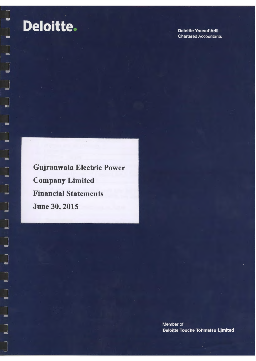$\overline{\phantom{a}}$ 

 $\overline{\phantom{a}}$ 

L

L

 $\overline{\phantom{a}}$ 

 $\begin{array}{c} \hline \end{array}$ 

 $\overline{\phantom{a}}$ 

÷

**Deloitte Yousuf Adil Chartered Accountants** 

Gujranwala Electric Power Company Limited Financial Statements June 30, 2015

> Member of Deloitte Touche Tohmatsu Limited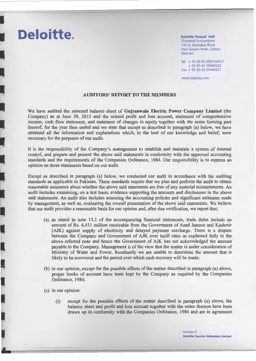Deloitte Yousuf Adil Chartered Accountants 134-A, Abubakar Block New Garden Town, Lahore, Pakistan

Tel: + 92 (O) 42 35913595-7 + 92 (O) 42 35440520 Fax:+ 92 (O) 42 35440521

www.deloitte.com

#### AUDITORS' REPORT TO THE MEMBERS

We have audited the annexed balance sheet of Gujranwala Electric Power Company Limited (the Company) as at June 30, 2015 and the related profit and loss account, statement of comprehensive income, cash flow statement, and statement of changes in equity together with the notes forming part thereof, for the year then ended and we state that except as described in paragraph (a) below, we have obtained all the information and explanations which, to the best of our knowledge and belief, were necessary for the purposes of our audit.

It is the responsibility of the Company's management to establish and maintain a system of internal control, and prepare and present the above said statements in conformity with the approved accounting standards and the requirements of the Companies Ordinance, 1984. Our responsibility is to express an opinion on these statements based on our audit.

Except as described in paragraph (a) below, we conducted our audit in accordance with the auditing standards as applicable in Pakistan. These standards require that we plan and perform the audit to obtain reasonable assurance about whether the above said statements are free of any material misstatements. An audit includes examining, on a test basis, evidence supporting the amounts and disclosures in the above said statements. An audit also includes assessing the accounting policies and significant estimates made by management, as well as, evaluating the overall presentation of the above said statements. We believe that our audit provides a reasonable basis for our opinion and, after due verification, we report that;

- (a) as stated in note 15.2 of the accompanying financial statements, trade debts include an amount of Rs. 6,451 million receivable from the Government of Azad Jammu and Kashmir (AJK) against supply of electricity and delayed payment surcharge. There is a dispute between the Company and Government of AJK over tariff rates as explained fully in the above referred note and hence the Government of AJK has not acknowledged the amount payable to the Company. Management is of the view that the matter is under consideration of Ministry of Water and Power. Resultantly we are unable to determine the amount that is likely to be recovered and the period over which such recovery will be made;
- (b) in our opinion, except for the possible effects of the matter described in paragraph (a) above, proper books of account have been kept by the Company as required by the Companies Ordinance, 1984;
- (c) in our opinion:

**Deloitte.** 

(i) except for the possible effects of the matter described in paragraph (a) above, the balance sheet and profit and loss account together with the notes thereon have been drawn up ih conformity with the Companies Ordinance, 1984 and are in agreement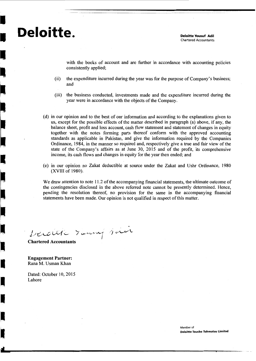# **Deloitte.** Deloitte Yousuf Adil

I

I

I

I

I

I

I

Chartered Accountants

with the books of account and are further in accordance with accounting policies consistently applied;

- (ii) the expenditure incurred during the year was for the purpose of Company's business; and
- (iii) the business conducted, investments made and the expenditure incurred during the year were in accordance with the objects of the Company.
- ( d) in our opinion and to the best of our information and according to the explanations given to us, except for the possible effects of the matter described in paragraph (a) above, if any, the balance sheet, profit and loss account, cash flow statement and statement of changes in equity together with the notes forming parts thereof conform with the approved accounting standards as applicable in Pakistan, and give the information required by the Companies Ordinance, 1984, in the manner so required and, respectively give a true and fair view of the state of the Company's affairs as at June 30, 2015 and of the profit, its comprehensive income, its cash flows and changes in equity for the year then ended; and
- (e) in our opinion no Zakat deductible at source under the Zakat and Ushr Ordinance, 1980 (XVIII of 1980).

We draw attention to note 11.2 of the accompanying financial statements, the ultimate outcome of the contingencies disclosed in the above referred note cannot be presently determined. Hence, pending the resolution thereof, no provision for the same in the accompanying financial statements have been made. Our opinion is not qualified in respect of this matter.

Decoude des deux des deux

Engagement Partner: Rana M. Usman Khan

Dated: October 10, 2015 Lahore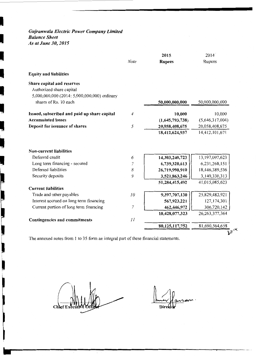# *Gujranwala Electric Power Company Limited Balance Sheet As at June 30, 2015*

I

I

I

 $\mathbf{I}$ 

I

J

J

•

|                                                                                                        |                     | 2015                            | 2014                            |
|--------------------------------------------------------------------------------------------------------|---------------------|---------------------------------|---------------------------------|
|                                                                                                        | <b>Note</b>         | <b>Rupees</b>                   | Rupees                          |
| <b>Equity and liabilities</b>                                                                          |                     |                                 |                                 |
| Share capital and reserves<br>Authorized share capital<br>5,000,000,000 (2014: 5,000,000,000) ordinary |                     |                                 |                                 |
| shares of Rs. 10 each                                                                                  |                     | 50,000,000,000                  | 50,000,000,000                  |
| Issued, subscribed and paid up share capital                                                           | 4                   | 10,000                          | 10,000                          |
| <b>Accumulated losses</b>                                                                              |                     | (1,645,793,738)                 | (5,646,317,004)                 |
| Deposit for issuance of shares                                                                         | 5                   | 20,058,408,675                  | 20,058,408,675                  |
|                                                                                                        |                     | 18,412,624,937                  | 14,412,101,671                  |
| <b>Non-current liabilities</b><br>Deferred credit                                                      | 6                   | 14,303,240,723                  | 13, 197, 097, 623               |
|                                                                                                        |                     |                                 |                                 |
| Long term financing - secured<br>Deferred liabilities                                                  | $\overline{7}$<br>8 | 6,739,320,613                   | 6,231,268,151<br>18,446,389,536 |
|                                                                                                        | 9                   | 26,719,990,910                  | 3,140,330,313                   |
| Security deposits                                                                                      |                     | 3,521,863,246<br>51,284,415,492 | 41,015,085,623                  |
| <b>Current liabilities</b>                                                                             |                     |                                 |                                 |
| Trade and other payables                                                                               | 10                  | 9,397,707,130                   | 25,829,482,921                  |
| Interest accrued on long term financing                                                                |                     | 567,923,221                     | 127, 174, 301                   |
| Current portion of long term financing                                                                 | $\overline{7}$      | 462,446,972                     | 306,720,142                     |
|                                                                                                        |                     | 10,428,077,323                  | 26, 263, 377, 364               |
| <b>Contingencies and commitments</b>                                                                   | 11                  |                                 |                                 |
|                                                                                                        |                     | 80,125,117,752                  | 81,690,564,658                  |
|                                                                                                        |                     |                                 |                                 |

The annexed notes from 1 to 35 form an integral part of these financial statements.

---------------------------------~~~~--.-~~-

Chef E

Dii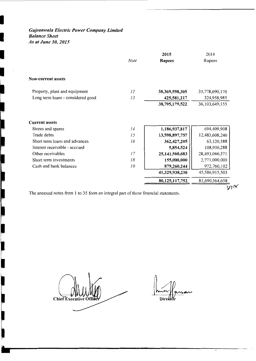*Gujranwala Electric Power Company Limited Balance Sheet As at June 30, 2015* 

I

 $\frac{1}{\sqrt{2}}$ 

 $\mathbf{E} = \begin{bmatrix} 1 & 1 \\ 1 & 1 \end{bmatrix}$ 

ı

|                                   |             | 2015              | 2014              |
|-----------------------------------|-------------|-------------------|-------------------|
|                                   | <b>Note</b> | <b>Rupees</b>     | Rupees            |
| <b>Non-current assets</b>         |             |                   |                   |
| Property, plant and equipment     | 12          | 38, 369, 598, 305 | 35,778,690,170    |
| Long term loans - considered good | 13          | 425,581,217       | 324,958,985       |
|                                   |             | 38,795,179,522    | 36, 103, 649, 155 |
| Stores and spares                 | 14          | 1,186,937,817     | 694,409,908       |
| <b>Current assets</b>             |             |                   |                   |
| Trade debts                       | 15          | 13,598,897,757    | 12,483,608,246    |
| Short term loans and advances     | 16          | 362, 427, 205     | 63,120,588        |
| Interest receivable - accrued     |             | 5,854,524         | 108,950,288       |
| Other receivables                 | 17          | 25, 141, 560, 683 | 28,493,066,371    |
| Short term investments            | 18          | 155,000,000       | 2,771,000,000     |
| Cash and bank balances            | 19          | 879,260,244       | 972,760,102       |
|                                   |             | 41,329,938,230    | 45,586,915,503    |
|                                   |             | 80,125,117,752    | 81,690,564,658    |
|                                   |             |                   | $y_7$ K           |

The annexed notes from 1 to 35 form an integral part of these financial statements.

Chief Executive

11111-----------------------

Dire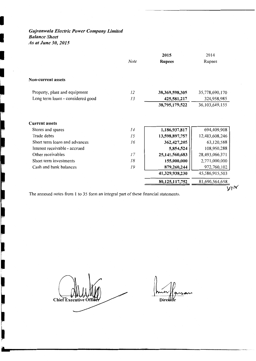# *Gujranwala Electric Power Company Limited Balance Sheet As at June 30, 2015*

I

 $\overline{\phantom{a}}$ 

 $\overline{a}$ 

|<br>|-

**The Contract of the State of Street** 

J

I

I

П

|                                   |          | 2015                            | 2014                          |
|-----------------------------------|----------|---------------------------------|-------------------------------|
|                                   | Note     | <b>Rupees</b>                   | Rupees                        |
| Non-current assets                |          |                                 |                               |
| Property, plant and equipment     | 12       | 38,369,598,305                  | 35,778,690,170                |
| Long term loans - considered good | 13       | 425,581,217                     | 324,958,985                   |
|                                   |          | 38,795,179,522                  | 36, 103, 649, 155             |
| Stores and spares<br>Trade debts  | 14<br>15 | 1,186,937,817<br>13,598,897,757 | 694,409,908<br>12,483,608,246 |
| <b>Current assets</b>             |          |                                 |                               |
|                                   |          |                                 |                               |
| Short term loans and advances     | 16       | 362,427,205                     | 63,120,588                    |
| Interest receivable - accrued     |          | 5,854,524                       | 108,950,288                   |
| Other receivables                 | 17       | 25,141,560,683                  | 28,493,066,371                |
| Short term investments            | 18       | 155,000,000                     | 2,771,000,000                 |
| Cash and bank balances            | 19       | 879,260,244                     | 972,760,102                   |
|                                   |          | 41,329,938,230                  | 45,586,915,503                |
|                                   |          | 80,125,117,752                  | 81,690,564,658                |
|                                   |          |                                 | Y'                            |

The annexed notes from 1 to 35 form an integral part of these financial statements.

**Chief Executiv** 

Dir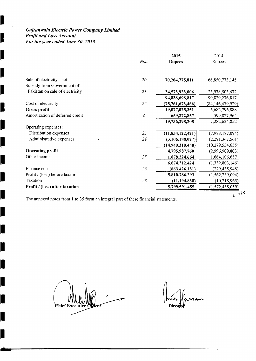# *Gujranwala Electric Power Company Limited Profit and Loss Account For the year ended June 30, 2015*

I

I

I

I

I

I

**I** 

I

I

I

I

l<br>I

I

I

l<br>L

I

I

I

I

|                                 | <b>Note</b> | 2015<br><b>Rupees</b> | 2014<br>Rupees      |
|---------------------------------|-------------|-----------------------|---------------------|
| Sale of electricity - net       | 20          | 70,264,775,811        | 66,850,773,145      |
| Subsidy from Government of      |             |                       |                     |
| Pakistan on sale of electricity | 21          | 24,573,923,006        | 23,978,503,672      |
|                                 |             | 94,838,698,817        | 90,829,276,817      |
| Cost of electricity             | 22          | (75, 761, 673, 466)   | (84, 146, 479, 929) |
| Gross profit                    |             | 19,077,025,351        | 6,682,796,888       |
| Amortization of deferred credit | 6           | 659,272,857           | 599,827,964         |
|                                 |             | 19,736,298,208        | 7,282,624,852       |
| Operating expenses:             |             |                       |                     |
| Distribution expenses           | 23          | (11, 834, 122, 421)   | (7,988,187,094)     |
| Administrative expenses         | 24          | (3, 106, 188, 027)    | (2,291,347,561)     |
|                                 |             | (14,940,310,448)      | (10, 279, 534, 655) |
| <b>Operating profit</b>         |             | 4,795,987,760         | (2,996,909,803)     |
| Other income                    | 25          | 1,878,224,664         | 1,664,106,657       |
|                                 |             | 6,674,212,424         | (1,332,803,146)     |
| Finance cost                    | 26          | (863, 426, 131)       | (229, 435, 948)     |
| Profit / (loss) before taxation |             | 5,810,786,293         | (1,562,239,094)     |
| Taxation                        | 28          | (11, 194, 838)        | (10,218,965)        |
| Profit / (loss) after taxation  |             | 5,799,591,455         | (1,572,458,059)     |
|                                 |             |                       | λ                   |

The annexed notes from 1 to 35 form an integral part of these financial statements.

Chief Executi

Inic Varran.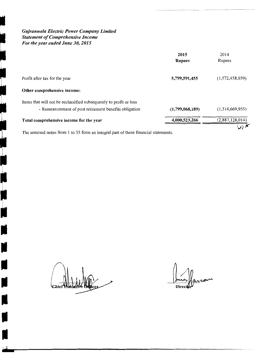*Gujranwala Electric Power Company Limited Statement of Comprehensive Income For the year ended June 30, 2015* 

I

ما

**←** 

**ig** 

I

 $\overline{\mathbf{r}}$ 

I i

t de la propieta de la propieta de la propieta de la propieta de la propieta de la propieta de la propieta de<br>La propieta de la propieta de la propieta de la propieta de la propieta de la propieta de la propieta de la pr

-<br>-<br>-

I

I

I

I

I

I

I

|                                                                                                                              | 2015<br><b>Rupees</b> | 2014<br>Rupees  |
|------------------------------------------------------------------------------------------------------------------------------|-----------------------|-----------------|
| Profit after tax for the year                                                                                                | 5,799,591,455         | (1,572,458,059) |
| Other comprehensive income:                                                                                                  |                       |                 |
| Items that will not be reclassified subsequently to profit or loss<br>- Remeasurement of post retirement benefits obligation | (1,799,068,189)       | (1,314,669,955) |
| Total comprehensive income for the year                                                                                      | 4,000,523,266         | (2,887,128,014) |
| The annexed notes from 1 to 35 form an integral part of these financial statements.                                          |                       | ۳ ∂ر∨           |

 $\overline{\mathcal{M}}$ **Dired**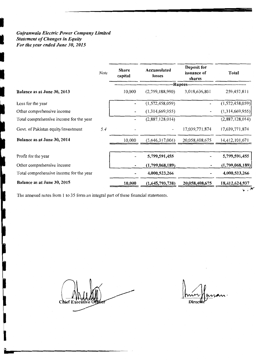# *Gujranwala Electric Power Company Limited Statement of Changes in Equity For the year ended June 30, 2015*

|                                         | <b>Note</b> | <b>Share</b><br>capital | Accumulated<br>losses | Deposit for<br>issuance of<br>shares | Total           |
|-----------------------------------------|-------------|-------------------------|-----------------------|--------------------------------------|-----------------|
| Balance as at June 30, 2013             |             | 10,000                  | (2,759,188,990)       | -Rupees---<br>3,018,636,801          | 259,457,811     |
|                                         |             |                         |                       |                                      |                 |
| Loss for the year                       |             |                         | (1,572,458,059)       |                                      | (1,572,458,059) |
| Other comprehensive income              |             |                         | (1,314,669,955)       |                                      | (1,314,669,955) |
| Total comprehensive income for the year |             |                         | (2,887,128,014)       |                                      | (2,887,128,014) |
| Govt. of Pakistan equity/investment     | 5.4         |                         |                       | 17,039,771,874                       | 17,039,771,874  |
| Balance as at June 30, 2014             |             | 10,000                  | (5,646,317,004)       | 20,058,408,675                       | 14,412,101,671  |
| Profit for the year                     |             |                         | 5,799,591,455         |                                      | 5,799,591,455   |
| Other comprehensive income              |             |                         | (1,799,068,189)       |                                      | (1,799,068,189) |
| Total comprehensive income for the year |             |                         | 4,000,523,266         |                                      | 4,000,523,266   |
| Balance as at June 30, 2015             |             | 10,000                  | (1,645,793,738)       | 20,058,408,675                       | 18,412,624,937  |
|                                         |             |                         |                       |                                      |                 |

The annexed notes from 1 to 35 form an integral part of these financial statements.

Chief E

I

**FOR THE PROPERTY OF STATE OF STATE OF STATE OF STATE OF STATE OF STATE OF STATE** 

 $\mathbf{w}$ .

------~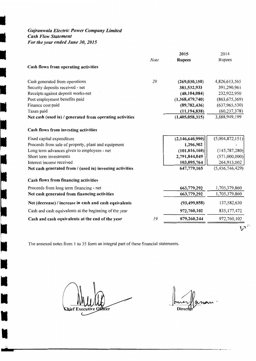# *Gujranwala Electric Power Company Limited Cash Flow Statement*

*For the year ended June 30, 2015* 

I

I

I

I

I

I

II

I

I

I

I

|                                                          |      | 2015            | 2014            |
|----------------------------------------------------------|------|-----------------|-----------------|
|                                                          | Note | <b>Rupees</b>   | Rupees          |
| Cash flows from operating activities                     |      |                 |                 |
| Cash generated from operations                           | 29   | (269, 030, 150) | 4,826,613,565   |
| Security deposits received - net                         |      | 381,532,933     | 391,290,961     |
| Receipts against deposit works-net                       |      | (48, 104, 084)  | 232,922,950     |
| Post employment benefits paid                            |      | (1,368,479,740) | (863, 675, 369) |
| Finance cost paid                                        |      | (89, 782, 436)  | (637, 965, 530) |
| Taxes paid                                               |      | (11, 194, 838)  | (60, 237, 378)  |
| Net cash (used in) / generated from operating activities |      | (1,405,058,315) | 3,888,949,199   |
| Cash flows from investing activities                     |      |                 |                 |
| Fixed capital expenditure                                |      | (2,146,640,990) | (5,004,872,151) |
| Proceeds from sale of property, plant and equipment      |      | 1,296,502       |                 |
| Long term advances given to employees - net              |      | (101, 816, 160) | (145, 787, 280) |
| Short term investments                                   |      | 2,791,844,049   | (571,000,000)   |
| Interest income received                                 |      | 103,095,764     | 264,913,002     |
| Net cash generated from / (used in) investing activities |      | 647,779,165     | (5,456,746,429) |
| Cash flows from financing activities                     |      |                 |                 |
| Proceeds from long term financing - net                  |      | 663,779,292     | 1,705,379,860   |
| Net cash generated from financing activities             |      | 663,779,292     | 1,705,379,860   |
| Net (decrease) / increase in cash and cash equivalents   |      | (93, 499, 858)  | 137,582,630     |
| Cash and cash equivalents at the beginning of the year   |      | 972,760,102     | 835, 177, 472   |
| Cash and cash equivalents at the end of the year         | 19   | 879,260,244     | 972,760,102     |
|                                                          |      |                 | ' ۲ر۲           |

The annexed notes from I to 35 form an integral part of these financial statements.

**Chief Executive Officer** 

nn · Direc

,,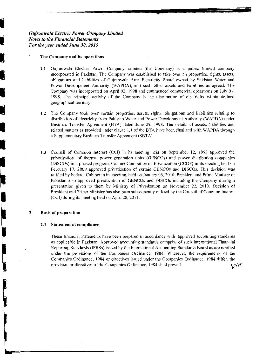# *Gujranwala Electric Power Company Limited Notes to the Financial Statements For the year ended June 30, 2015*

#### **1 The Company and its operations**

و المعالمية<br>وفيات المعالمية<br>وفيات الموالية

•

I

I.

I

I

**1.1** Gujranwala Electric Power Company Limited (the Company) is a public limited company incorporated in Pakistan. The Company was established to take over all properties, rights, assets, obligations and liabilities of Gujranwala Area Electricity Board owned by Pakistan Water and Power Development Authority (WAPDA), and such other assets and liabilities as agreed. The Company was incorporated on April 02, 1998 and commenced commercial operations on July 01, 1998. The principal activity of the Company is the distribution of electricity within defined geographical territory.

- -- ----- - -- -

- **1.2** The Company took over certain properties, assets, rights, obligations and liabilities relating to distribution of electricity from Pakistan Water and Power Development Authority (W APDA) under Business Transfer Agreement (BTA) dated June 29, 1998. The details of assets, liabilities and related matters as provided under clause 1.1 of the BTA have been finalized with WAPDA through a Supplementary Business Transfer Agreement (SBTA).
- **1.3** Council of Common Interest (CCI) in its meeting held on September 12, 1993 approved the privatization of thermal power generation units (GENCOs) and power distribution companies (DISCOs) in a phased program. Cabinet Committee on Privatization (CCOP) in its meeting held on February 17, 2009 approved privatization of certain GENCOs and DISCOs, This decision was ratified by Federal Cabinet in its meeting, held on January 06, 2010. President and Prime Minister of Pakistan also approved privatization of GENCOs and DISCOs including the Company during a presentation given to them by Ministry of Privatization on November 22, 2010. Decision of President and Prime Minister has also been subsequently ratified by the Council of Common Interest (CCI) during its meeting held on April 28, 2011.

#### **2 Basis of preparation**

#### **2.1 Statement of compliance**

These financial statements have been prepared in accordance with approved accounting standards as applicable in Pakistan. Approved accounting standards comprise of such International Financial Reporting Standards (IFRSs) issued by the International Accounting Standards Board as are notified under the provisions of the Companies Ordinance, 1984. Wherever, the requirements of the Companies Ordinance, 1984 or directives issued under the Companies Ordinance, 1984 differ, the provision or directives of the Companies Ordinance, 1984 shall prevail. provision or directives of the Companies Ordinance, 1984 shall prevail.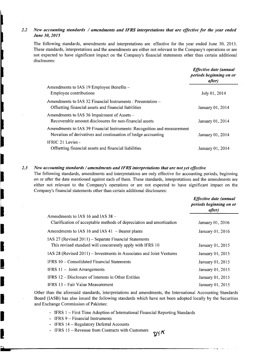#### 2.2 New accounting standards / amendments and IFRS interpretations that are effective for the year ended *June 30, 2015*

The following standards, amendments and interpretations are effective for the year ended June 30, 2015. These standards, interpretations and the amendments are either not relevant to the Company's operations or are not expected to have significant impact on the Company's financial statements other than certain additional disclosures:

|                                                                                                                                         | <b>Effective date (annual</b><br>periods beginning on or<br><i>after</i> ) |
|-----------------------------------------------------------------------------------------------------------------------------------------|----------------------------------------------------------------------------|
| Amendments to IAS 19 Employee Benefits –                                                                                                |                                                                            |
| Employee contributions                                                                                                                  | July 01, 2014                                                              |
| Amendments to IAS 32 Financial Instruments : Presentation –<br>Offsetting financial assets and financial liabilities                    | January 01, 2014                                                           |
| Amendments to IAS 36 Impairment of Assets –<br>Recoverable amount disclosures for non-financial assets                                  | January 01, 2014                                                           |
| Amendments to IAS 39 Financial Instruments: Recognition and measurement<br>Novation of derivatives and continuation of hedge accounting | January 01, 2014                                                           |
| IFRIC 21 Levies -<br>Offsetting financial assets and financial liabilities                                                              | January 01, 2014                                                           |

#### 2.3 New accounting standards / amendments and IFRS interpretations that are not yet effective

The following standards, amendments and interpretations are only effective for accounting periods, beginning on or after the date mentioned against each of them. These standards, interpretations and the amendments are either not relevant to the Company's operations or are not expected to have significant impact on the Company's financial statements other than certain additional disclosures:

|                                                                                                                        | Effective date (annual<br>periods beginning on or<br>after) |
|------------------------------------------------------------------------------------------------------------------------|-------------------------------------------------------------|
| Amendments to IAS 16 and IAS $38 -$<br>Clarification of acceptable methods of depreciation and amortization            | January 01, 2016                                            |
| Amendments to IAS 16 and IAS $41$ – Bearer plants                                                                      | January 01, 2016                                            |
| IAS 27 (Revised $2011$ ) – Separate Financial Statements<br>This revised standard will concurrently apply with IFRS 10 | January 01, 2015                                            |
| IAS 28 (Revised 2011) – Investments in Associates and Joint Ventures                                                   | January 01, 2015                                            |
| IFRS 10 – Consolidated Financial Statements                                                                            | January 01, 2015                                            |
| <b>IFRS 11 - Joint Arrangements</b>                                                                                    | January 01, 2015                                            |
| IFRS 12 – Disclosure of Interests in Other Entities                                                                    | January 01, 2015                                            |
| IFRS 13 – Fair Value Measurement                                                                                       | January 01, 2015                                            |

Other than the aforesaid standards, interpretations and amendments, the International Accounting Standards Board (IASB) has also issued the following standards which have not been adopted locally by the Securities and Exchange Commission of Pakistan:

א <sub>YQ</sub>

- IFRS 1 First Time Adoption of International Financial Reporting Standards
- IFRS  $9$  Financial Instruments

I

I

I

**The company of the company of the company of the company of the company of the company of the company of the company of the company of the company of the company of the company of the company of the company of the company** 

I

I

I

I

I

I

- IFRS 14 Regulatory Deferral Accounts
- IFRS 15 Revenue from Contracts with Customers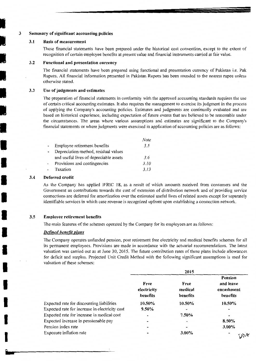#### 3 Summary of significant accounting policies

#### 3.1 Basis of measurement

i<br>I

i<br>I<br>I

ian<br>I

i<br>I

**II** 

I

I

**I** 

I

I

I

I

I

I

I

I

I

I

I

These financial statements have been prepared under the historical cost convention, except to the extent of recognition of certain employee benefits at present value and financial instruments carried at fair value.

----

#### 3.2 Functional and presentation currency

The financial statements have been prepared using functional and presentation currency of Pakistan i.e. Pak Rupees. All financial information presented in Pakistan Rupees has been rounded to the nearest rupee unless otherwise stated.

#### 3.3 Use of judgments and estimates

The preparation of financial statements in conformity with the approved accounting standards requires the use of certain critical accounting estimates. It also requires the management to exercise its judgment in the process of applying the Company's accounting policies. Estimates and judgments are continually evaluated and are based on historical experience, including expectation of future events that are believed to be reasonable under the circumstances. The areas where various assumptions and estimates are significant to the Company's financial statements or where judgments were exercised in application of accounting policies are as follows:

|                                        | Note |
|----------------------------------------|------|
| Employee retirement benefits           | 3.5  |
| Depreciation method, residual values   |      |
| and useful lives of depreciable assets | 3.6  |
| Provisions and contingencies           | 3.10 |
| Taxation                               | 3.13 |

#### 3.4 Deferred credit

As the Company has applied IFRIC 18, as a result of which amounts received from consumers and the Government as contributions towards the cost of extension of distribution network and of providing service connections are deferred for amortization over the estimated useful lives of related assets except for separately identifiable services in which case revenue is recognized upfront upon establishing a connection network.

#### 3.5 Employee retirement benefits

The main features of the schemes operated by the Company for its employees are as follows:

#### *Defined benefit plans*

The Company operates unfunded pension, post retirement free electricity and medical benefits schemes for all its permanent employees. Provisions are made in accordance with the actuarial recommendations. The latest valuation was carried out as at June 30, 2015. The future contribution rates of these plans include allowances for deficit and surplus. Projected Unit Credit Method with the following significant assumptions is used for valuation of these schemes:

|                                                |                                 | 2015                        |                                                |
|------------------------------------------------|---------------------------------|-----------------------------|------------------------------------------------|
|                                                | Free<br>electricity<br>benefits | Free<br>medical<br>benefits | Pension<br>and leave<br>encashment<br>benefits |
| Expected rate for discounting liabilities      | 10.50%                          | 10.50%                      | 10.50%                                         |
| Expected rate for increase in electricity cost | $9.50\%$                        |                             |                                                |
| Expected rate for increase in medical cost     | ۰                               | 7.50%                       |                                                |
| Expected increase in pensionable pay           |                                 |                             | 8.50%                                          |
| Pension index rate                             |                                 |                             | $3.00\%$                                       |
| Exposure inflation rate                        |                                 | $3.00\%$                    |                                                |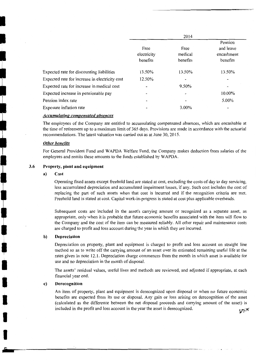|                                                |                          | 2014     |                          |
|------------------------------------------------|--------------------------|----------|--------------------------|
|                                                |                          |          | Pension                  |
|                                                | Free                     | Free     | and leave                |
|                                                | electricity              | medical  | encashment               |
|                                                | benefits                 | benefits | benefits                 |
|                                                |                          |          |                          |
| Expected rate for discounting liabilities      | 13.50%                   | 13.50%   | 13.50%                   |
| Expected rate for increase in electricity cost | 12.50%                   |          |                          |
| Expected rate for increase in medical cost     | $\overline{\phantom{a}}$ | 9.50%    |                          |
| Expected increase in pensionable pay           | $\blacksquare$           |          | 10.00%                   |
| Pension index rate                             | $\overline{\phantom{a}}$ | -        | 5.00%                    |
| Exposure inflation rate                        | $\overline{\phantom{a}}$ | 3.00%    | $\overline{\phantom{a}}$ |

#### *Accumulating compensated absences*

The employees of the Company are entitled to accumulating compensated absences, which are encashable at the time ofretirement up to a maximum limit of 365 days. Provisions are made in accordance with the actuarial recommendations. The latest valuation was carried out as at June 30, 2015.

#### *Other benefits*

I

I

I

' **'** I

**TEN** 

I

I

I

I

For General Provident Fund and WAPDA Welfare Fund, the Company makes deduction from salaries of the employees and remits these amounts to the funds established by WAPDA.

#### 3.6 Property, plant and equipment

#### a) Cost

Operating fixed assets except freehold land are stated at cost, excluding the costs of day to day servicing, less accumulated depreciation and accumulated impairment losses, if any. Such cost includes the cost of replacing the part of such assets when that cost is incurred and if the recognition criteria are met. Freehold land is stated at cost. Capital work-in-progress is stated at cost plus applicable overheads.

Subsequent costs are included in the asset's carrying amount or recognized as a separate asset, as appropriate, only when it is probable that future economic benefits associated with the item will flow to the Company and the cost of the item can be measured reliably. All other repair and maintenance costs are charged to profit and loss account during the year in which they are incurred.

#### b) Depreciation

Depreciation on property, plant and equipment is charged to profit and loss account on straight line method so as to write off the carrying amount of an asset over its estimated remaining useful life at the rates given in note 12.1. Depreciation charge commences from the month in which asset is available for use and no depreciation in the month of disposal.

The assets' residual values, useful lives and methods are reviewed, and adjusted if appropriate, at each financial year end.

#### c) Derecognition

An item of property, plant and equipment is derecognized upon disposal or when no future economic benefits are expected from its use or disposal. Any gain or loss arising on derecognition of the asset (calculated as the difference between the net disposal proceeds and carrying amount of the asset) is included in the profit and loss account in the year the asset is derecognized.  $V\pi$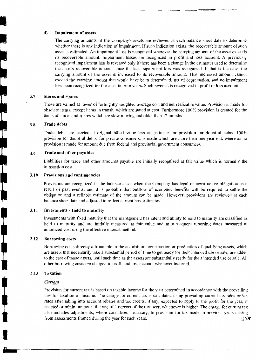# **d)** Impairment of assets

The carrying amounts of the Company's assets are reviewed at each balance sheet date to determine whether there is any indication of impairment. If such indication exists, the recoverable amount of such asset is estimated. An impairment loss is recognized wherever the carrying amount of the asset exceeds its recoverable amount. Impairment losses are recognized in profit and loss account. A previously recognized impairment loss is reversed only ifthere has been a change in the estimates used to determine the asset's recoverable amount since the last impairment loss was recognized. If that is the case, the carrying amount of the asset is increased to its recoverable amount. That increased amount cannot exceed the carrying amount that would have been determined, net of depreciation, had no impairment loss been recognized for the asset in prior years. Such reversal is recognized in profit or loss account.

#### 3.7 Stores and spares

These are valued at lower of fortnightly weighted average cost and net realizable value. Provision is made for obsolete items, except items in transit, which are stated at cost. Furthermore I 00% provision is created for the items of stores and spares which are slow moving and older than 12 months.

#### 3.8 Trade debts

Trade debts are carried at original billed value less an estimate for provision for doubtful debts. 100% provision for doubtful debts, for private consumers, is made which are more than one year old, where as no provision is made for amount due from federal and provincial government consumers.

#### 3.9 Trade and other payables

Liabilities for trade and other amounts payable are initially recognized at fair value which is normally the transaction cost.

#### 3.10 Provisions and contingencies

Provisions are recognized in the balance sheet when the Company has legal or constructive obligation as a result of past events, and it is probable that outflow of economic benefits will be required to settle the obligation and a reliable estimate of the amount can be made. However, provisions are reviewed at each balance sheet date and adjusted to reflect current best estimates.

#### 3.11 Investments - Held to maturity

Investments with fixed maturity that the management has intent and ability to hold to maturity are classified as held to maturity and are initially measured at fair value and at subsequent reporting dates measured at amortized cost using the effective interest method.

#### 3.12 Borrowing costs

Borrowing costs directly attributable to the acquisition, construction or production of qualifying assets, which are assets that necessarily take a substantial period of time to get ready for their intended use or sale, are added to the cost of those assets, until such time as the assets are substantially ready for their intended use or sale. All other borrowing costs are charged to profit and loss account whenever incurred.

#### 3.13 Taxation

#### *Current*

Provision for current tax is based on taxable income for the year determined in accordance with the prevailing law for taxation of income. The charge for current tax is calculated using prevailing current tax rates or tax rates after taking into account rebates and tax credits, if any, expected to apply to the profit for the year, if enacted or minimum tax at the rate of I percent of the turnover, whichever is higher. The charge for current tax also includes adjustments, where considered necessary, to provision for tax made in previous years arising from assessments framed during the year for such years.  $\mathcal{Y}$  is given years.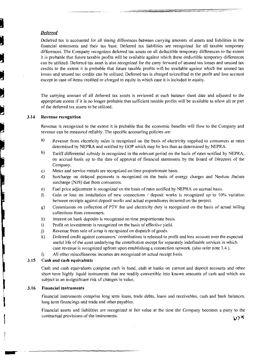### *Deferred*

i<br>L

i<br>J

ď

**CONTROL** 

ļ

Deferred tax is accounted for all timing differences between carrying amounts of assets and liabilities in the financial statements and their tax base. Deferred tax liabilities are recognized for all taxable temporary differences. The Company recognizes deferred tax assets on all deductible temporary differences to the extent it is probable that future taxable profits will be available against which these deductible temporary differences can be utilized. Deferred tax asset is also recognized for the carry forward of unused tax losses and unused tax credits to the extent it is probable that future taxable profits will be available against which the unused tax losses and unused tax credits can be utilized. Deferred tax is charged to/credited in the profit and loss account except in case of items credited or charged to equity in which case it is included in equity.

The carrying amount of all deferred tax assets is reviewed at each balance sheet date and adjusted to the appropriate extent if it is no longer probable that sufficient taxable profits will be available to allow all or part of the deferred tax assets to be utilized.

#### **3.14 Revenue recognition**

Revenue is recognized to the extent it is probable that the economic benefits will flow to the Company and revenue can be measured reliably. The specific accounting policies are:

- a) Revenue from electricity sales is recognized on the basis of electricity supplied to consumers at rates determined by NEPRA and notified by GOP which may be less than as determined by NEPRA.
- b) Tariff differential subsidy is recognized in the relevant period on the basis of rates notified by NEPRA, on accrual basis up to the date of approval of financial statements by the Board of Directors of the Company.
- c) Meter and service rentals are recognized on time proportionate basis.
- d) Surcharge on delayed payments is recognized on the basis of energy charges and Neelum Jhelum surcharge (NJS) due from consumers.
- e) Fuel price adjustment is recognized on the basis of rates notified by NEPRA on accrual basis.
- f) Gain or loss on installation of new connections  $\ell$  deposit works is recognized up to 10% variation between receipts against deposit works and actual expenditures incurred on the project.
- g) Commission on collection of PTV fee and electricity duty is recognized on the basis of actual billing collections from consumers.
- h) Interest on bank deposits is recognized on time proportionate basis.
- i) Profit on investments is recognized on the basis of effective yield.
- j) Revenue from sale of scrap is recognized on dispatch of goods.
- k) Deferred credit against consumers' contributions is released to profit and loss account over the expected useful life of the asset underlying the contribution except for separately indefinable services in which case revenue is recognized upfront upon establishing a connection network. (also refer note 3.4 ).
- I) All other miscellaneous incomes are recognized on actual receipt basis.

#### **3.15 Cash and cash equivalents**

Cash and cash equivalents comprise cash in hand, cash at banks on current and deposit accounts and other short term highly liquid instruments that are readily convertible into known amounts of cash and which are subject to an insignificant risk of changes in value.

#### **3.16 Financial instruments**

--

Financial instruments comprise long term loans, trade debts, loans and receivables, cash and bank balances, long term financings and trade and other payables.

Financial assets and liabilities are recognized at fair value at the time the Company becomes a party to the contractual provisions of the instruments.  $V$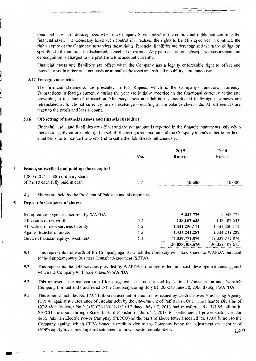Financial assets are derecognized when the Company loses control of the contractual rights that comprise the financial asset. The Company loses such control if it realizes the rights to benefits specified in contract, the rights expire or the Company surrenders those rights. Financial liabilities are derecognized when the obligation specified in the contract is discharged, cancelled or expired. Any gain or loss on subsequent measurement and derecognition is charged to the profit and loss account currently.

Financial assets and liabilities are offset when the Company has a legally enforceable right to offset and intends to settle either on a net basis or to realize the asset and settle the liability simultaneously.

#### 3.17 Foreign currencies

 $^{\prime}$ 

--··

The financial statements are presented in Pak Rupees, which is the Company's functional currency. Transactions in foreign currency during the year are initially recorded in the functional currency at the rate prevailing at the date of transaction. Monetary assets and liabilities denominated in foreign currencies are retranslated at functional currency rate of exchange prevailing at the balance sheet date. All differences are taken to the profit and loss account.

#### 3.18 Off-setting of financial assets and financial liabilities

Financial assets and liabilities are off set and the net amount is reported in the financial statements only when there is a legally enforceable right to set-off the recognized amount and the Company intends either to settle on a net basis, or to realize the assets and to settle the liabilities simultaneously.

|   |                                                                          | <b>Note</b> | 2015<br><b>Rupees</b> | 2014<br>Rupees |
|---|--------------------------------------------------------------------------|-------------|-----------------------|----------------|
| 4 | Issued, subscribed and paid up share capital                             |             |                       |                |
|   | 1,000 (2014: 1,000) ordinary shares<br>of Rs. 10 each fully paid in cash | 4.1         | 10,000                | 10,000         |
|   | Shares are held by the President of Pakistan and his nominees.<br>4.1    |             |                       |                |
| 5 | Deposit for issuance of shares                                           |             |                       |                |
|   | Incorporation expenses incurred by WAPDA                                 |             | 5,042,775             | 5,042,775      |
|   | Allocation of net worth                                                  | 5.1         | 138,102,633           | 138, 102, 633  |
|   | Allocation of debt services liability                                    | 5.2         | 1,541,250,111         | 1,541,250,111  |
|   | Against transfer of assets                                               | 5.3         | 1,334,241,282         | 1,334,241,282  |
|   | Govt. of Pakistan equity/investment                                      | 5.4         | 17,039,771,874        | 17,039,771,874 |
|   |                                                                          |             | 20,058,408,675        | 20,058,408,675 |

5.1 This represents net worth of the Company against which the Company will issue shares to WAPDA pursuant to the Supplementary Business Transfer Agreement (SBTA).

5.2 This represents the debt services provided by WAPDA on foreign re-lent and cash development loans against which the Company will issue shares to WAPDA.

5.3 This represents the reallocation of loans against assets constructed by National Transmission and Despatch Company Limited and transferred to the Company during July 01, 2002 to June 30, 2006 through WAPDA.

5.4 This amount includes Rs. 17.04 billion on account of credit notes issued by Central Power Purchasing Agency (CPPA) against the clearance of circular debt by the Government of Pakistan (GOP). The Finance Division of GOP vide its letter No F.1(5) CF-1/2012-13/1017 dated July 02, 2013 had transferred Rs. 341.96 billion in PEPCO's account through State Bank of Pakistan on June 27, 2013 for settlement of power sector circular debt. Pakistan Electric Power Compnay (PEPCO) on the basis of above letter allocated Rs. 17.04 billion to the Company against which CPPA issued a credit advice to the Company being the adjustment on account of GOP's equity/investment against settlement of power sector circular debt. \/!I'<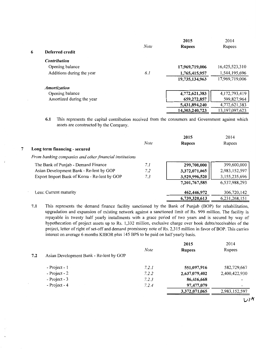|   |                            |             | 2015           | 2014              |
|---|----------------------------|-------------|----------------|-------------------|
|   |                            | <b>Note</b> | <b>Rupees</b>  | Rupees            |
| 6 | Deferred credit            |             |                |                   |
|   | <b>Contribution</b>        |             |                |                   |
|   | Opening balance            |             | 17,969,719,006 | 16,425,523,310    |
|   | Additions during the year  | 6.1         | 1,765,415,957  | 1,544,195,696     |
|   |                            |             | 19,735,134,963 | 17,969,719,006    |
|   | <i><b>Amortization</b></i> |             |                |                   |
|   | Opening balance            |             | 4,772,621,383  | 4,172,793,419     |
|   | Amortized during the year  |             | 659,272,857    | 599,827,964       |
|   |                            |             | 5,431,894,240  | 4,772,621,383     |
|   |                            |             | 14,303,240,723 | 13, 197, 097, 623 |

**6.1** This represents the capital contribution received from the consumers and Government against which assets are constructed by the Company.

|                                                         | <b>Note</b> | 2015          | 2014<br>Rupees |
|---------------------------------------------------------|-------------|---------------|----------------|
| 7<br>Long term financing - secured                      |             | <b>Rupees</b> |                |
| From banking companies and other financial institutions |             |               |                |
| The Bank of Punjab - Demand Finance                     | 7.1         | 299,700,000   | 399,600,000    |
| Asian Development Bank - Re-lent by GOP                 | 7.2         | 3,372,071,065 | 2,983,152,597  |
| Export Import Bank of Korea - Re-lent by GOP            | 7.3         | 3,529,996,520 | 3,155,235,696  |
|                                                         |             | 7,201,767,585 | 6,537,988,293  |
| Less: Current maturity                                  |             | 462,446,972   | 306,720,142    |
|                                                         |             | 6,739,320,613 | 6,231,268,151  |

**7.1** This represents the demand finance facility sanctioned by the Bank of Punjab (BOP) for rehabilitation, upgradation and expansion of existing network against a sanctioned limit of Rs. 999 million. The facility is repayable in twenty half yearly installments with a grace period of two years and is secured by way of hypothecation of project assets up to Rs. 1,332 million, exclusive charge over book debts/receivables of the project, letter of right of set-off and demand promissory note of Rs. 2,315 million in favor of BOP. This carries interest on average 6 months KIBOR plus 145 BPS to be paid on half yearly basis.

|                  |                                         |             | 2015          | 2014                     |
|------------------|-----------------------------------------|-------------|---------------|--------------------------|
|                  |                                         | <b>Note</b> | <b>Rupees</b> | Rupees                   |
| 7.2              | Asian Development Bank - Re-lent by GOP |             |               |                          |
| $- Project - 1$  |                                         | 7.2.1       | 551,097,916   | 582,729,667              |
| $-$ Project $-2$ |                                         | 7.2.2       | 2,637,079,402 | 2,400,422,930            |
| $-$ Project - 3  |                                         | 7.2.3       | 86,416,668    | $\overline{\phantom{a}}$ |
| - Project - $4$  |                                         | 7.2.4       | 97,477,079    | $\overline{\phantom{a}}$ |
|                  |                                         |             | 3,372,071,065 | 2,983,152,597            |
|                  |                                         |             |               | DIA.                     |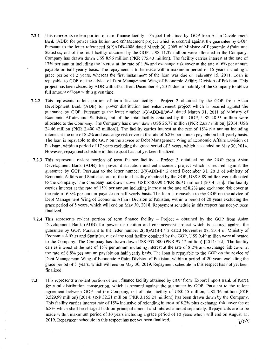- **7.2.1** This represents re-lent portion of term finance facility Project **1** obtained by GOP from Asian Development Bank (ADB) for power distribution and enhancement project which is secured against the guarantee by GOP. Pursuant to the letter referenced 6(9)ADB-4086 dated March 30, 2009 of Ministry of Economic Affairs and Statistics, out of the total facility obtained by the GOP, US\$ 11.37 million were allocated to the Company. Company has drawn down US\$ 8.96 million (PKR 775.40 million). The facility carries interest at the rate of 17% per annum including the interest at the rate of 11 % and exchange risk cover at the rate of 6% per annum payable on half yearly basis. The repayment is to be made within maximum period of 15 years including a grace period of 2 years, whereas the first installment of the loan was due on February 15, 2011. Loan is repayable to GOP on the advice of Debt Management Wing of Economic Affairs Division of Pakistan. This project has been closed by ADB with effect from December 31, 2012 due to inability of the Company to utilize full amount of loan within given time.
- **7.2.2** This represents re-lent portion of term finance facility Project 2 obtained by the GOP from Asian Development Bank (ADB) for power distribution and enhancement project which is secured against the guarantee by GOP. Pursuant to the letter number 1(3)ADB-II/06-A dated March 31, 2011 of Ministry of Economic Affairs and Statistics, out of the total facility obtained by the GOP, US\$ 48.55 million were allocated to the Company. The Company has drawn down US\$ 26.77 million (PKR 2,637 million) [2014: US\$ 24.46 million (PKR 2,400.42 million)]. The facility carries interest at the rate of 15% per annum including interest at the rate of 8.2% and exchange risk cover at the rate of 6.8% per annum payable on half yearly basis. The loan is repayable to the GOP on the advice of Debt Management Wing of Economic Affairs Division of Pakistan, within a period of 17 years excluding the grace period of 3 years, which has ended on May 30, 2014. However, repayment schedule in this respect has not yet been finalized.
- 7.2.3 This represents re-lent portion of term finance facility Project 3 obtained by the GOP from Asian Development Bank (ADB) for power distribution and enhancement project which is secured against the guarantee by GOP. Pursuant to the Jetter number 2(9)ADB-II/12 dated December 31, 2013 of Ministry of Economic Affairs and Statistics, out of the total facility obtained by the GOP, US\$ 8.89 million were allocated to the Company. The Company has drawn down US\$ 858,000 (PKR 86.41 million) [2014: Nil]. The facility carries interest at the rate of 15% per annum including interest at the rate of 8.2% and exchange risk cover at the rate of 6.8% per annum payable on half yearly basis. The loan is repayable to the GOP on the advice of Debt Management Wing of Economic Affairs Division of Pakistan, within a period of 20 years excluding the grace period of 5 years, which will end on May 30, 2018. Repayment schedule in this respect has not yet been finalized.
- **7.2.4** This represents re-lent portion of term finance facility Project 4 obtained by the GOP from Asian Development Bank (ADB) for power distribution and enhancement project which is secured against the guarantee by GOP. Pursuant to the letter number 2(18)ADB-II/13 dated November 07, 2014 of Ministry of Economic Affairs and Statistics, out of the total facility obtained by the GOP, US\$ 9 .49 million were allocated to the Company. The Company has drawn down US\$ 957,000 (PKR 97.47 million) [2014: Nil]. The facility carries interest at the rate of 15% per annum including interest at the rate of 8.2% and exchange risk cover at the rate of 6.8% per annum payable on half yearly basis. The Joan is repayable to the GOP on the advice of Debt Management Wing of Economic Affairs Division of Pakistan, within a period of 20 years excluding the grace period of 5 years, which will end on May 30, 2019. Repayment schedule in this respect has not yet been finalized.
- 7.3 This represents a re-lent portion of term finance facility obtained by GOP from Export Import Bank of Korea for rural distribution construction, which is secured against the guarantee by GOP. Pursuant to the re-lent agreement between GOP and the Company, out of total facility of US\$ 45 million, US\$ 36 million (PKR 3,529.99 million) [2014: US\$ 32.21 million (PKR 3,155.24 million)] has been drawn down by the Company. This facility carries interest rate of 15% inclusive of relending interest of 8.2% plus exchange risk cover fee of 6.8% which shall be charged both on principal amount and interest amount separately. Repayments are to be made within maximum period of 30 years including a grace period of 10 years which will end on August 15, 2019. Repayment schedule in this respect has not yet been finalized.  $1/\sqrt{1/2}$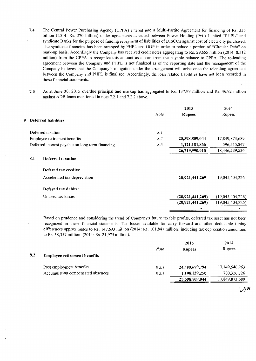- **7.4** The Central Power Purchasing Agency (CPPA) entered into a Multi-Partite Agreement for financing of Rs. 335 billion (2014: Rs. 270 billion) under agreements executed between Power Holding (Pvt.) Limited "PHPL" and syndicate Banks for the purpose of funding repayment of liabilities of DISCOs against cost of electricity purchased. The syndicate financing has been arranged by PHPL and GOP in order to reduce a portion of "Circular Debt" on mark-up basis. Accordingly the Company has received credit notes aggregating to Rs. 29 ,665 million (2014: 8,512 million) from the CPPA to recognize this amount as a loan from the payable balance to CPPA. The re-lending agreement between the Company and PHPL is not finalized as of the reporting date and the management of the Company believes that the Company's obligation under the arrangement will arise once the relending agreement between the Company and PHPL is finalized. Accordingly, the loan related liabilities have not been recorded in these financial statements.
- 7.5 As at June 30, 2015 overdue principal and markup has aggregated to Rs. 137.99 million and Rs. 46.92 million against ADB loans mentioned in note 7.2.1 and 7.2.2 above.

|     |                                                  | <b>Note</b> | 2015<br><b>Rupees</b> | 2014<br>Rupees   |
|-----|--------------------------------------------------|-------------|-----------------------|------------------|
|     | 8 Deferred liabilities                           |             |                       |                  |
|     | Deferred taxation                                | 8.1         |                       |                  |
|     | Employee retirement benefits                     | 8.2         | 25,598,809,044        | 17,849,873,689   |
|     | Deferred interest payable on long term financing | 8.6         | 1,121,181,866         | 596,515,847      |
|     |                                                  |             | 26,719,990,910        | 18,446,389,536   |
| 8.1 | Deferred taxation                                |             |                       |                  |
|     | Defered tax credits:                             |             |                       |                  |
|     | Accelerated tax depreciation                     |             | 20,921,441,269        | 19,045,404,226   |
|     | Defered tax debits:                              |             |                       |                  |
|     | Unused tax losses                                |             | (20, 921, 441, 269)   | (19,045,404,226) |
|     |                                                  |             | (20, 921, 441, 269)   | (19,045,404,226) |
|     |                                                  |             |                       |                  |

Based on prudence and considering the trend of Company's future taxable profits, deferred tax asset has not been recognized in these financial statements. Tax losses available for carry forward and other deductible timing differences approximates to Rs. 147,693 million (2014: Rs. 101,847 million) including tax depreciation amounting to Rs. 18,357 million (2014: Rs. 21,975 million).

|     |                                     |       | 2015           | 2014              |
|-----|-------------------------------------|-------|----------------|-------------------|
|     |                                     | Note  | <b>Rupees</b>  | Rupees            |
| 8.2 | <b>Employee retirement benefits</b> |       |                |                   |
|     | Post employment benefits            | 8.2.1 | 24,490,679,794 | 17, 149, 546, 963 |
|     | Accumulating compensated absences   | 8.2.1 | 1,108,129,250  | 700,326,726       |
|     |                                     |       | 25,598,809,044 | 17,849,873,689    |
|     |                                     |       |                |                   |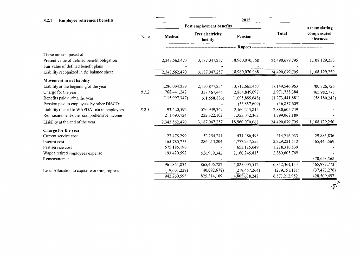| 8.2.1<br><b>Employee retirement benefits</b>                                       | 2015  |                 |                                     |                  |                 |                         |
|------------------------------------------------------------------------------------|-------|-----------------|-------------------------------------|------------------|-----------------|-------------------------|
|                                                                                    |       |                 | Post employment benefits            |                  |                 | Accumulating            |
|                                                                                    | Note  | Medical         | <b>Free electricity</b><br>facility | Pension          | Total           | compensated<br>absences |
|                                                                                    |       |                 |                                     | <b>Rupees</b> -- |                 |                         |
| These are composed of:                                                             |       |                 |                                     |                  |                 |                         |
| Present value of defined benefit obligation<br>Fair value of defined benefit plans |       | 2,343,562,470   | 3,187,047,257                       | 18,960,070,068   | 24,490,679,795  | 1,108,129,250           |
| Liability recognized in the balance sheet                                          |       | 2,343,562,470   | 3,187,047,257                       | 18,960,070,068   | 24,490,679,795  | 1,108,129,250           |
| Movement in net liability                                                          |       |                 |                                     |                  |                 |                         |
| Liability at the beginning of the year                                             |       | 1,286,004,259   | 2,150,877,254                       | 13,712,665,450   | 17,149,546,963  | 700,326,726             |
| Charge for the year                                                                | 8.2.2 | 768,441,242     | 338,467,445                         | 2,864,849,697    | 3,971,758,384   | 465,982,773             |
| Benefits paid during the year                                                      |       | (115, 997, 347) | (61, 558, 886)                      | (1,095,885,648)  | (1,273,441,881) | (58, 180, 249)          |
| Pension paid to employees by other DISCOs                                          |       |                 |                                     | (36,857,609)     | (36,857,609)    |                         |
| Liability related to WAPDA retired employees                                       | 8.2.3 | 193,420,592     | 526,939,342                         | 2,160,245,815    | 2,880,605,749   |                         |
| Remeasurement-other comprehensive income                                           |       | 211,693,724     | 232,322,102                         | 1,355,052,363    | 1,799,068,189   |                         |
| Liability at the end of the year                                                   |       | 2,343,562,470   | 3,187,047,257                       | 18,960,070,068   | 24,490,679,795  | 1,108,129,250           |
| Charge for the year                                                                |       |                 |                                     |                  |                 |                         |
| Current service cost                                                               |       | 27,475,299      | 52,254,241                          | 434,486,493      | 514,216,033     | 29,883,836              |
| Interest cost                                                                      |       | 165,780,753     | 286,213,204                         | 1,777,237,555    | 2,229,231,512   | 65,445,569              |
| Past service cost                                                                  |       | 575,185,190     |                                     | 653,125,649      | 1,228,310,839   |                         |
| Wapda retired employees expense                                                    |       | 193,420,592     | 526,939,342                         | 2,160,245,815    | 2,880,605,749   |                         |
| Remeasurement                                                                      |       |                 |                                     |                  |                 | 370,653,368             |
|                                                                                    |       | 961,861,834     | 865,406,787                         | 5,025,095,512    | 6,852,364,133   | 465,982,773             |
| Less: Allocation to capital work-in-progress                                       |       | (19,601,239)    | (40,092,678)                        | (219, 457, 264)  | (279, 151, 181) | (37, 473, 276)          |
|                                                                                    |       | 942,260,595     | 825,314,109                         | 4,805,638,248    | 6,573,212,952   | 428,509,497             |

 $\frac{1}{\sqrt{2}}\sum_{i=1}^{n} \frac{1}{\sqrt{2}}\left(\frac{1}{\sqrt{2}}\right)^2$ 

 $\cdot \tilde{J}^{\prime}$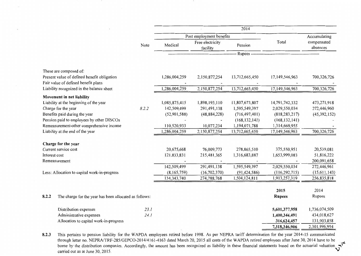|                                                                                    |       |               |                              | 2014            |                 |                         |
|------------------------------------------------------------------------------------|-------|---------------|------------------------------|-----------------|-----------------|-------------------------|
|                                                                                    |       |               | Post employment benefits     |                 |                 | Accumulating            |
|                                                                                    | Note  | Medical       | Free electricity<br>facility | Pension         | Total           | compensated<br>absences |
|                                                                                    |       |               |                              | Rupees -        |                 |                         |
| These are composed of:                                                             |       |               |                              |                 |                 |                         |
| Present value of defined benefit obligation<br>Fair value of defined benefit plans |       | 1,286,004,259 | 2,150,877,254                | 13,712,665,450  | 17,149,546,963  | 700,326,726             |
| Liability recognized in the balance sheet                                          |       | 1,286,004,259 | 2,150,877,254                | 13,712,665,450  | 17,149,546,963  | 700,326,726             |
| Movement in net liability                                                          |       |               |                              |                 |                 |                         |
| Liability at the beginning of the year                                             |       | 1,085,875,415 | 1,898,193,110                | 11,807,673,807  | 14,791,742,332  | 473,271,918             |
| Charge for the year                                                                | 8.2.2 | 142,509,499   | 291,491,138                  | 1,595,549,397   | 2,029,550,034   | 272,446,960             |
| Benefits paid during the year                                                      |       | (52,901,588)  | (48, 884, 228)               | (716, 497, 401) | (818, 283, 217) | (45, 392, 152)          |
| Pension paid to employees by other DISCOs                                          |       |               |                              | (168, 132, 141) | (168, 132, 141) |                         |
| Remeasurement-other comprehensive income                                           |       | 110,520,933   | 10,077,234                   | 1,194,071,788   | 1,314,669,955   |                         |
| Liability at the end of the year                                                   |       | 1,286,004,259 | 2,150,877,254                | 13,712,665,450  | 17,149,546,963  | 700,326,726             |
|                                                                                    |       |               |                              |                 |                 |                         |
| Charge for the year                                                                |       | 20,675,668    | 76,009,773                   | 278,865,510     | 375,550,951     | 20,539,081              |
| Current service cost                                                               |       | 121,833,831   | 215,481,365                  | 1,316,683,887   | 1,653,999,083   | 51,816,222              |
| Interest cost<br>Remeasurement                                                     |       |               |                              |                 |                 | 200,091,658             |
|                                                                                    |       | 142,509,499   | 291,491,138                  | 1,595,549,397   | 2,029,550,034   | 272,446,961             |
| Less: Allocation to capital work-in-progress                                       |       | (8,165,759)   | (16,702,370)                 | (91, 424, 586)  | (116, 292, 715) | (15,611,143)            |
|                                                                                    |       | 134, 343, 740 | 274,788,768                  | 1,504,124,811   | 1,913,257,319   | 256,835,818             |
|                                                                                    |       |               |                              |                 |                 |                         |
|                                                                                    |       |               |                              |                 | 2015            | 2014                    |
| 8.2.2<br>The charge for the year has been allocated as follows:                    |       |               |                              |                 | <b>Rupees</b>   | Rupees                  |
|                                                                                    |       |               |                              |                 |                 |                         |
| Distribution expenses                                                              | 23.1  |               |                              |                 | 5,601,377,958   | 1,736,074,509           |
| Administrative expenses                                                            | 24.1  |               |                              |                 | 1,400,344,491   | 434,018,627             |
| Allocation to capital work-in-progress                                             |       |               |                              |                 | 316,624,457     | 131,903,858             |
|                                                                                    |       |               |                              |                 | 7,318,346,906   | 2,301,996,994           |

**8.2.3** This pertains to pension liability for the W APDA employees retired before 1998. As per NEPRA tariff determination for the year 2014-15 communicated through letter no. NEPRA/TRF-285/GEPCO-2014/4161-4163 dated March 20, 2015 all costs of the WAPDA retired employees after June 30, 2014 have to be borne by the distribution companies. Accordingly, the amount has been recognized as liability in these financial statements based on the actuarial valuation  $\sim$  carried out as at June 30, 2015.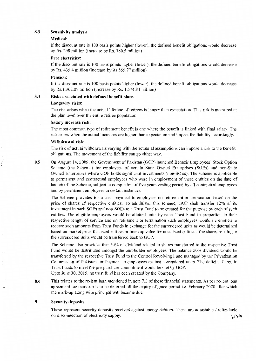#### **8.3 Sensitivity analysis**

#### **Medical:**

If the discount rate is 100 basis points higher (lower), the defined benefit obligations would decrease by Rs. 298 million (increase by Rs. 380.5 million)

#### **Free electricity:**

If the discount rate is I 00 basis points higher (lower), the defined benefit obligations would decrease by Rs. 435.4 million (increase by Rs.555.77 million)

#### **Pension:**

If the discount rate is 100 basis points higher (lower), the defined benefit obligations would decrease by Rs.1,362.07 million (increase by Rs. 1,574.84 million)

#### **8.4 Risks associated with defined benefit plans**

#### **Longevity risks:**

The risk arises when the actual lifetime of retirees is longer than expectation. This risk is measured at the plan level over the entire retiree population.

#### **Salary increase risk:**

The most common type of retirement benefit is one where the benefit is linked with final salary. The risk arises when the actual increases are higher than expectation and impact the liability accordingly.

#### **Withdrawal risk:**

The risk of actual withdrawals varying with the actuarial assumptions can impose a risk to the benefit obligations. The movement of the liability can go either way.

**8.5** 

On August 14, 2009, the Government of Pakistan (GOP) launched Benazir Employees' Stock Option Scheme (the Scheme) for employees of certain State Owned Enterprises (SOEs) and non-State Owned Enterprises where GOP holds significant investments (non-SOEs). The scheme is applicable to permanent and contractual employees who were in employment of these entities on the date of launch of the Scheme, subject to completion of five years vesting period by all contractual employees and by permanent employees in certain instances.

The Scheme provides for a cash payment to employees on retirement or termination based on the price of shares of respective entities. To administer this scheme, GOP shall transfer 12% of its investment in such SOEs and non-SOEs to a Trust Fund to be created for the purpose by each of such entities. The eligible employees would be allotted units by each Trust Fund in proportion to their respective length of service and on retirement or termination such employees would be entitled to receive such amounts from Trust Funds in exchange for the surrendered units as would be determined based on market price for listed entities or breakup value for non-listed entities. The shares relating to the surrendered units would be transferred back to GOP.

The Scheme also provides that 50% of dividend related to shares transferred to the respective Trust Fund would be distributed amongst the unit-holder employees. The balance 50% dividend would be transferred by the respective Trust Fund to the Control Revolving Fund managed by the Privatization Commission of Pakistan for Payment to employees against surrendered units. The deficit, if any, in Trust Funds to meet the pre-purchase commitment would be met by GOP.

Upto June 30, 2015, no trust fund has been created by the Company.

**8.6** This relates to the re-lent loan mentioned in note 7.3 of these financial statements. As per re-lent loan agreement the mark-up is to be deferred till the expiry of grace period i.e. February 2020 after which the mark-up along with principal will become due.

#### **9 Security deposits**

These represent security deposits received against energy debtors. These are adjustable / refundable on disconnection of electricity supply.  $\mathcal{V}^{\prime\prime}$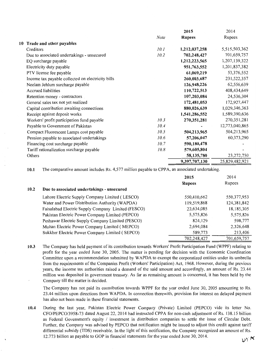|                                                   |             | 2015          | 2014           |
|---------------------------------------------------|-------------|---------------|----------------|
|                                                   | <b>Note</b> | <b>Rupees</b> | Rupees         |
| 10 Trade and other payables                       |             |               |                |
| Creditors                                         | 10.1        | 1,212,037,258 | 5,515,503,362  |
| Due to associated undertakings - unsecured        | 10.2        | 702,248,427   | 701,659,757    |
| EQ surcharge payable                              |             | 1,212,223,565 | 1,207,139,322  |
| Electricity duty payable                          |             | 951,763,552   | 1,201,837,382  |
| PTV license fee payable                           |             | 61,069,219    | 53,376,552     |
| Income tax payable collected on electricity bills |             | 260,003,687   | 231,522,357    |
| Neelam Jehlum surcharge payable                   |             | 126,948,226   | 62,556,639     |
| <b>Accrued liabilities</b>                        |             | 110,722,513   | 408,434,649    |
| Retention money - contractors                     |             | 107,203,084   | 24,536,304     |
| General sales tax not yet realized                |             | 172,481,053   | 172,927,447    |
| Capital contribution awaiting connections         |             | 880,026,639   | 1,029,346,363  |
| Receipt against deposit works                     |             | 1,541,286,552 | 1,589,390,636  |
| Workers' profit participation fund payable        | 10.3        | 270,351,281   | 270,351,281    |
| Payable to Government of Pakistan                 | 10.4        |               | 12,773,040,865 |
| Compact Fluorescent Lamps cost payable            | 10.5        | 504,213,965   | 504,213,965    |
| Pension payable to associated undertakings        | 10.6        | 57,206,047    | 60,373,290     |
| Financing cost surcharge payable                  | 10.7        | 590,180,478   |                |
| Tariff rationalization surcharge payable          | 10.8        | 579,605,804   |                |
| Others                                            |             | 58,135,780    | 23, 272, 750   |
|                                                   |             | 9,397,707,130 | 25,829,482,921 |
|                                                   |             |               |                |

**10.1** The comparative amount includes Rs. 4,577 million payable to CPPA, an associated undertaking.

|      |                                                    | 2015          | 2014          |
|------|----------------------------------------------------|---------------|---------------|
|      |                                                    | <b>Rupees</b> | Rupees        |
| 10.2 | Due to associated undertakings - unsecured         |               |               |
|      | Lahore Electric Supply Company Limited (LESCO)     | 550,410,662   | 550, 377, 953 |
|      | Water and Power Distribution Authority (WAPDA)     | 119,519,868   | 124,381,842   |
|      | Faisalabad Electric Supply Company Limited (FESCO) | 22,634,085    | 18,185,305    |
|      | Pakistan Electric Power Company Limited (PEPCO)    | 5,575,826     | 5,575,826     |
|      | Peshawar Electric Supply Company Limited (PESCO)   | 824,129       | 598,777       |
|      | Multan Electric Power Company Limited (MEPCO)      | 2,694,084     | 2,326,648     |
|      | Sukkher Electric Power Company Limited (SEPCO)     | 589,773       | 213,406       |
|      |                                                    | 702,248,427   | 701,659,757   |

**10.3** The Company has held payment of its contribution towards Workers' Profit Participation Fund (WPPF) relating to profit for the year ended June 30, 2005. The matter is pending for decision with the Economic Coordination Committee upon a recommendation submitted by W APDA to exempt the corporatized entities under its umbrella from the requirements of the Companies Profit (Workers' Participation) Act, 1968. However, during the previous years, the income tax authorities raised a demand of the said amount and accordingly, an amount of Rs. 23 .44 million was deposited in government treasury. As far as remaining amount is concerned, it has been held by the Company till the matter is decided.

The Company has not paid its contribution towards WPPF for the year ended June 30, 2005 amounting to Rs. 23.44 million upon directions from WAPDA. In connection therewith, provision for interest on delayed payment has also not been made in these financial statements.

**10.4** During the last year, Pakistan Electric Power Company (Private) Limited (PEPCO) vide its letter No. CFO/PEPC0/3958-73 dated August 22, 2014 had instructed CPPA for non-cash adjustment of Rs. 138.15 billion as Federal Government's equity / investment in distribution companies to settle the issue of Circular Debt. Further, the Company was advised by PEPCO that notification might be issued to adjust this credit against tariff differential subsidy (TDS) receivable. In the light of this notification, the Company recognized an amount of Rs. 12.773 billion as payable to GOP in financial statements for the year ended June 30, 2014.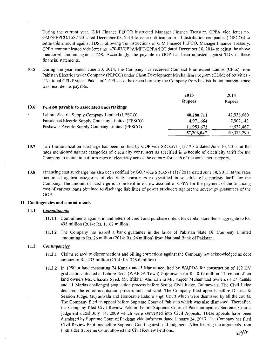During the current year, G.M Finance PEPCO instructed Manager Finance Treasury, CPPA vide letter no. GMF/PEPC0/1587-90 dated December 08, 2014 to issue notification to all distribution companies (DISCOs) to settle this amount against TDS. Following the instructions of G.M Finance PEPCO, Manager Finance Treasury, CPPA communicated vide letter no. 470-83/CPPA/MFT/CPPA/IOT dated December 10, 2014 to adjust the above mentioned amount against TDS. Accordingly, the payable to GOP has been adjusted against TDS in these financial statements.

10.5 During the year ended June 30, 2014, the Company has received Compact Fluorescent Lamps (CFLs) from Pakistan Electric Power Company (PEPCO) under Clean Development Mechanism Program (CDM) of activities - "National CFL Project- Pakistan". CFLs cost has been borne by the Company from its distribution margin hence was recorded as payable.

|      |                                                    | 2015          | 2014       |
|------|----------------------------------------------------|---------------|------------|
|      |                                                    | <b>Rupees</b> | Rupees     |
| 10.6 | Pension payable to associated undertakings         |               |            |
|      | Lahore Electric Supply Company Limited (LESCO)     | 40,280,711    | 42,938,680 |
|      | Faisalabad Electric Supply Company Limited (FESCO) | 4,971,664     | 7,902,143  |
|      | Peshawar Electric Supply Company Limited (PESCO)   | 11,953,672    | 9,532,467  |
|      |                                                    | 57,206,047    | 60,373,290 |

- 10.7 Tariff rationalization surcharge has been notified by GOP vide SRO.571 (1) / 2015 dated June 10, 2015, at the rates mentioned against categories of electricity consumers as specified in schedule of electricity tariff for the Company to maintain uniform rates of electricity across the country for each of the consumer category.
- 10.8 Financing cost surcharge has also been notified by GOP vide  $SRO.571$  (1) / 2015 dated June 10, 2015, at the rates mentioned against categories of electricity consumers as specified in schedule of electricity tariff for the Company. The amount of surcharge is to be kept in escrow account of CPPA for the payment of the financing cost of various loans obtained to discharge liabilities of power producers against the sovereign guarantees of the GOP.

#### 11 Contingencies and commitments

#### 11.1 *Commitments*

- 11.1.1 Commitments against inland letters of credit and purchase orders for capital store items aggregate to Rs. 498 million (2014: Rs. 1, 162 million).
- 11.1.2 The Company has issued a bank guarantee in the favor of Pakistan State Oil Company Limited amounting to Rs. 26 million (2014: Rs. 26 million) from National Bank of Pakistan.

### 11.2 *Contingencies*

- 11.2.1 Claims related to disconnections and billing corrections against the Company not acknowledged as debt amount to Rs. 233 million (2014: Rs. 326.6 million)
- 11.2.2 In 1990, a land measuring 74 Kanals and 5 Marlas acquired by WAPDA for construction of 132 KV grid station situated at Lahore Road (W APDA Town) Gujranwala for Rs. 8.19 million. Three out of ten land owners Ms. Ghazala Syed, Mr. Iftikhar Ahmad and Mr. Faqeer Muhammad owners of 27 Kanals and 11 Marlas challenged acquisition process before Senior Civil Judge, Gujranwala. The Civil Judge declared the entire acquisition process null and void. The Company filed appeals before District  $\&$ Session Judge, Gujranwala and Honorable Lahore High Court which were dismissed by all the courts. The Company filed an appeal before Supreme Court of Pakistan which was also dismissed. Thereafter, the Company filed Civil Review Petition before Supreme Court of Pakistan against Supreme Court's judgment dated July 14, 2009 which were converted into Civil Appeals. These appeals have been dismissed by Supreme Court of Pakistan vide judgment dated January 24, 2013. The Company has filed Civil Review Petitions before Supreme Court against said judgment. After hearing the arguments from both sides Supreme Court allowed the Civil Review Petitions.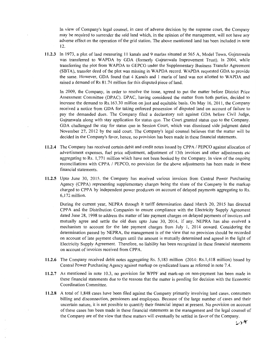In view of Company's legal counsel, in case of adverse decision by the supreme court, the Company may be required to surrender the said land which, in the opinion of the management, will not have any adverse effect on the operation of the grid station. The above mentioned land has been included in note 12.

**11.2.3** In 1973, a plot of land measuring 11 kanals and 9 marlas situated at 565 A, Model Town, Gujranwala was transferred to WAPDA by GDA (formerly Gujranwala Improvement Trust). In 2004, while transferring the plot from W APDA to GEPCO under the Supplementary Business Transfer Agreement (SBTA), transfer deed of the plot was missing in WAPDA record. WAPDA requested GDA to provide the same. However, GDA found that 4 Kanals and I maria of land was not allotted to W APDA and raised a demand of Rs 81.74 million for this disputed piece of land.

In 2009, the Company, in order to resolve the issue, agreed to put the matter before District Price Assessment Committee (DPAC). DPAC, having considered the matter from both parties, decided to increase the demand to Rs.163.30 million on just and equitable basis. On May 16, 2011, the Company received a notice from GDA for taking enforced possession of disputed land on account of failure to pay the demanded dues. The Company filed a declaratory suit against GOA before Civil Judge, Gujranwala along with stay application for status quo. The Court granted status quo to the Company. GDA challenged the stay for status quo in Session Court, which was dismissed vide judgment dated November 27, 2012 by the said court. The Company's legal counsel believes that the matter will be decided in the Company's favor, hence, no provision has been made in these financial statements.

- **11.2.4** The Company has received certain debit and credit notes issued by CPPA / PEPCO against allocation of advertisment expenses, fuel price adjustment, adjustment of 13th invoices and other adjustments etc aggregating to Rs. 1,771 million which have not been booked by the Company. In view of the ongoing reconciliations with CPPA / PEPCO, no provision for the above adjustments has been made in these financial statements.
- **11.2.5** Upto June 30, 2015, the Company has received various invoices from Central Power Purchasing Agency (CPPA) representing supplementary charges being the share of the Company in the markup charged to CPPA by independent power producers on account of delayed payments aggregating to Rs. 6, 172 million.

During the current year, NEPRA through it tariff determination dated March 20, 2015 has directed CPPA and the Distribution Companies to ensure compliance with the Electricity Supply Agreement dated June 28, 1998 to address the matter of late payment charges on delayed payments of invoices and mutually agree and settle the old dues upto June 30, 2014, if any. NEPRA has also evolved a mechanism to account for the late payment charges from July I, 2014 onward. Considering the determination passed by NEPRA, the management is of the view that no provision should be recorded on account of late payment charges until the amount is mutually determined and agreed in the light of Electricity Supply Agreement. Therefore, no liability has been recognized in these financial statements on account of invoices received from CPPA.

- **11.2.6** The Company received debit notes aggregating Rs. 5, 183 million (2014: Rs.1,418 million) issued by Central Power Purchasing Agency against markup on syndicated loans as referred in note 7.4.
- 11.2.7 As mentioned in note 10.3, no provision for WPPF and mark-up on non-payment has been made in these financial statements due to the reasons that the matter is pending for decision with the Economic Coordination Committee.
- **11.2.8** A total of 1,848 cases have been filed against the Company primarily involving land cases, consumers billing and disconnection, pensioners and employees. Because of the large number of cases and their uncertain nature, it is not possible to quantify their financial impact at present. No provision on account of these cases has been made in these financial statements as the management and the legal counsel of the Company are of the view that these matters will eventually be settled in favor of the Company.

 $298$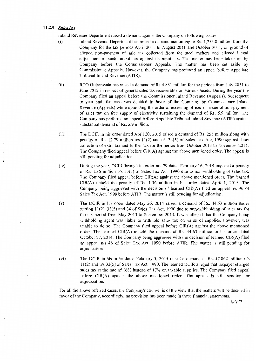#### **11.2.9** *Sales tax*

Inland Revenue Department raised a demand against the Company on following issues:

- (i) Inland Revenue Department has raised a demand amounting to Rs. 1,235.8 million from the Company for the tax periods April 2011 to August 2011 and October 2011, on ground of alleged non-payment of sale tax collected from the steel melters and alleged illegal adjustment of such output tax against its input tax. The matter has been taken up by Company before the Commissioner Appeals. The matter has been set aside by Commissioner Appeals. However, the Company has preferred an appeal before Appellate Tribunal Inland Revenue (ATIR).
- (ii) RTO Gujranwala has raised a demand of Rs 4,861 million for the periods from July 2011 to June 2012 in respect of general sales tax recoverable on various heads. During the year the Company filed an appeal before the Commissioner Inland Revenue (Appeals). Subsequent to year end, the case was decided in favor of the Company by Commissioner Inland Revenue (Appeals) while upholding the order of assessing officer on issue of non-payment of sales tax on free supply of electricity sustaining the demand of Rs. 5.9 million. The Company has preferred an appeal before Appellate Tribunal Inland Revenue (ATIR) against substantial demand of Rs. 5.9 million.
- (iii) The DCIR in his order dated April 20, 2015 raised a demand of Rs. 255 million along with penalty of Rs. 12.79 million u/s 11(2) and u/s 33(5) of Sales Tax Act, 1990 against short collection of extra tax and further tax for the period from October 2013 to November 2014. The Company filed appeal before CIR(A) against the above mentioned order. The appeal is still pending for adjudication.
- (iv) During the year, DCIR through its order no. 79 dated February 16, 2015 imposed a penalty of Rs. 1.36 million u/s 33(5) of Sales Tax Act, 1990 due to non-withholding of sales tax. The Company filed appeal before CIR(A) against the above mentioned order. The learned CIR(A) upheld the penalty of Rs. 1.36 million in his order dated April I, 2015. The Company being aggrieved with the decision of learned CIR(A) filed an appeal u/s 46 of Sales Tax Act, 1990 before ATIR. The matter is still pending for adjudication.
- (v) The DCIR in his order dated May 26, 2014 raised a demand of Rs. 44.63 million under section  $11(2)$ ,  $33(5)$  and  $34$  of Sales Tax Act, 1990 due to non-withholding of sales tax for the tax period from May 2013 to September 2013. It was alleged that the Company being withholding agent was liable to withhold sales tax on value of supplies, however, was unable to do so. The Company filed appeal before  $CIR(A)$  against the above mentioned order. The learned CIR(A) upheld the demand of Rs. 44.63 million in his order dated October 27, 2014. The Company being aggrieved with the decision of learned CIR(A) filed an appeal u/s 46 of Sales Tax Act, 1990 before A TIR. The matter is still pending for adjudication.
- (vi) The DCIR in his order dated February 3, 2015 raised a demand of Rs. 47.862 million u/s 11 (2) and u/s 33(5) of Sales Tax Act, 1990. The learned DCIR alleged that taxpayer charged sales tax at the rate of 16% instead of 17% on taxable supplies. The Company filed appeal before CIR(A) against the above mentioned order. The appeal is still pending for adjudication.

For all the above referred cases, the Company's counsel is of the view that the matters will be decided in favor of the Company, accordingly, no provision has been made in these financial statements.

*·v* 'II>(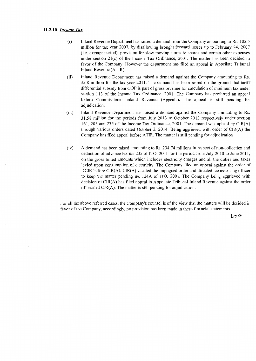- (i) Inland Revenue Department has raised a demand from the Company amounting to Rs. 102.5 million for tax year 2007, by disallowing brought forward losses up to February 24, 2007 (i.e. exempt period), provision for slow moving stores  $\&$  spares and certain other expenses under section  $21(c)$  of the Income Tax Ordinance, 2001. The matter has been decided in favor of the Company. However the department has filed an appeal in Appellate Tribunal Inland Revenue (ATIR).
- (ii) Inland Revenue Department has raised a demand against the Company amounting to Rs. 3 5 .8 million for the tax year 2011. The demand has been raised on the ground that tariff differential subsidy from GOP is part of gross revenue for calculation of minimum tax under section 113 of the Income Tax Ordinance, 2001. The Company has preferred an appeal before Commissioner Inland Revenue (Appeals). The appeal is still pending for adjudication.
- (iii) Inland Revenue Department has raised a demand against the Company amounting to Rs. 31.58 million for the periods from July 2013 to October 2013 respectively under section 161, 205 and 235 of the Income Tax Ordinance, 2001. The demand was upheld by CIR(A) through various orders dated October 2, 2014. Being aggrieved with order of CIR(A) the Company has filed appeal before A TIR. The matter is still pending for adjudication
- (iv) A demand has been raised amounting to Rs. 234. 74 millions in respect of non-collection and deduction of advance tax u/s 235 of ITO, 2001 for the period from July 2010 to June 2011, on the gross billed amounts which includes electricity charges and all the duties and taxes levied upon consumption of electricity. The Company filed an appeal against the order of DCIR before CIR(A). CIR(A) vacated the impugned order and directed the assessing officer to keep the matter pending u/s 124A of ITO, 2001. The Company being aggrieved with decision of CIR(A) has filed appeal in Appellate Tribunal Inland Revenue against the order of learned CIR(A). The matter is still pending for adjudication.

For all the above referred cases, the Company's counsel is of the view that the matters will be decided in favor of the Company, accordingly, no provision has been made in these financial statements.

 $D7$ /x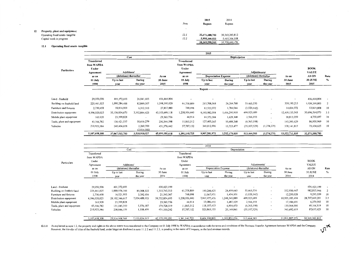|    |                                 | Note | 2015<br><b>Rupees</b> | 2014<br>Rupees    |
|----|---------------------------------|------|-----------------------|-------------------|
| 12 | Property, plant and equipment   |      |                       |                   |
|    | Operating fixed assets-tangible | 12.1 | 32,371,388,783        | 30, 363, 383, 812 |
|    | Capital work in progress        | 12.2 | 5,998,209,522         | 5,415,306,358     |
|    |                                 |      | 38, 369, 598, 305     | 35,778,690,170    |

#### 12.1 Operating fixed assets- tangible

|                            |                                                        |                        |                          |                   |                                                        | 2015                        |               |                        |                          |                |                             |               |
|----------------------------|--------------------------------------------------------|------------------------|--------------------------|-------------------|--------------------------------------------------------|-----------------------------|---------------|------------------------|--------------------------|----------------|-----------------------------|---------------|
|                            |                                                        | Cost<br>Depreciation   |                          |                   |                                                        |                             |               |                        |                          |                |                             |               |
| Particulars                | <b>Transferred</b><br>from WAPDA<br>Under<br>Agreement | Additions/             |                          |                   | <b>Transferred</b><br>from WAPDA<br>Under<br>Agreement |                             |               | Adjustments/           |                          |                | <b>BOOK</b><br><b>VALUE</b> |               |
|                            | as on                                                  | (deletions) thereafter |                          | As on             | as on                                                  | <b>Depreciation Expense</b> |               | (deletions) thereafter |                          | As on          | AS ON                       | Rate          |
|                            | 01 July                                                | Up to last             | During                   | 30 June           | 01 July                                                | Up to last                  | During        | Up to last             | During                   | 30 June        | <b>30 JUNE</b>              | $\frac{9}{9}$ |
|                            | 1998                                                   | year                   | the year                 | 2015              | 1998                                                   | vear                        | the year      | year                   | the vear                 | 2015           | 2015                        |               |
| Land - freehold            | 29,050,506                                             | 401,372,693            | 26,041,605               | 456,464,804       |                                                        | Runees -                    |               |                        |                          | $\blacksquare$ | 456,464,804                 |               |
| Building on freehold land  | 225,461,025                                            | 1,090,284,488          | 82,849,507               | 1,398,595,020     | 61,758,809                                             | 217,708,068                 | 26, 264, 768  | 53,463,570             |                          | 359, 195, 215  | 1,039,399,805               | 2             |
| Furniture and fixtures     | 2,730,458                                              | 18,814,909             | 6,312,513                | 27,857,880        | 748,098                                                | 12,522,072                  | 1,784,044     | (1,020,142)            | $\blacksquare$           | 14,034,072     | 13,823,808                  | 10            |
| Distribution equipment     | 4,596,020,025                                          | 35,156,834,670         | 3,352,844,423            | 43, 105, 699, 118 | 1,258,936,440                                          | 9,193,982,004               | 1,456,290,910 | 499,925,689            | $\overline{\phantom{a}}$ | 12,409,135,043 | 30,696,564,075              | 3.5           |
| Mobile plant equipment     | 163,928                                                | 23,399,828             | $\overline{\phantom{a}}$ | 23,563,756        | 44,914                                                 | 14,573,584                  | 1,628,368     | 2,566,193              | $\overline{\phantom{a}}$ | 18,813,059     | 4,750,697                   | 10            |
| Tools, plant and equipment | 43,306,782                                             | 136,421,537            | 50,616,279               | 230, 344, 598     | 11,865,312                                             | 127,403,247                 | 10,488,268    | (6, 363, 198)          | $\overline{\phantom{a}}$ | 143,393,629    | 86,950,969                  | 10            |
| Vehicles                   | 210,925,584                                            | 240,404,658            | 2,260,700<br>(2,014,500) | 451,576,442       | 57,787,152                                             | 341,012,996                 | 15,723,477    | (35, 107, 529)         | (1, 274, 279)            | 378, 141, 817  | 73,434,625                  | 10            |
|                            | 5,107,658,308                                          | 37,067,532,783         | 3,518,910,527            | 45,694,101,618    | 1,391,140,725                                          | 9,907,201,971               | 1,512,179,835 | 513,464,583            | (1, 274, 279)            | 13,322,712,835 | 32,371,388,783              |               |

|                            |               |                        |               |                |                          | 2014                 |               |                        |                          |                          |                   |                          |
|----------------------------|---------------|------------------------|---------------|----------------|--------------------------|----------------------|---------------|------------------------|--------------------------|--------------------------|-------------------|--------------------------|
|                            |               | Cost                   |               |                |                          |                      | Depreciation  |                        |                          |                          |                   |                          |
|                            | Transferred   |                        |               |                | Transferred              |                      |               |                        |                          |                          |                   |                          |
|                            | from WAPDA    |                        |               |                | from WAPDA               |                      |               |                        |                          |                          |                   |                          |
| Particulars                | Under         |                        |               |                | Under                    |                      |               |                        |                          |                          | <b>BOOK</b>       |                          |
|                            | Agreement     | Additions/             |               |                | Agreement                |                      |               | Adjustments/           |                          |                          | <b>VALUE</b>      |                          |
|                            | as on         | (deletions) thereafter |               | As on          | as on                    | Depreciation Expense |               | (deletions) thereafter |                          | As on                    | AS ON             | Rate                     |
|                            | 01 July       | Up to last             | During        | 30 June        | 01 July                  | Up to last           | During        | Up to last             | During                   | 30 June                  | 30 JUNE           | $\frac{0}{2}$            |
|                            | 1998          | year                   | the year      | 2014           | 1998                     | year                 | the year      | vear                   | the year                 | 2014                     | 2014              |                          |
|                            |               |                        |               |                |                          |                      |               |                        |                          |                          |                   |                          |
| Land - freehold            | 29,050,506    | 401,372,693            | $\sim$        | 430,423,199    | $\overline{\phantom{a}}$ |                      |               |                        |                          | $\overline{\phantom{a}}$ | 430,423,199       | $\overline{\phantom{a}}$ |
| Building on freehold land  | 225,461,025   | 1,000,976,166          | 89,308,322    | 1,315,745,513  | 61,758,809               | 193,248,425          | 24,459,643    | 53,463,570             | $\sim$                   | 332,930,447              | 982,815,066       | - 2                      |
| Furniture and fixtures     | 2,730,458     | 16,521,955             | 2,292,954     | 21,545,367     | 748,098                  | 11,067,971           | 1,454,101     | (1,020,142)            |                          | 12,250,028               | 9,295,339         | 10                       |
| Distribution equipment     | 4,596,020,025 | 28,102,346,617         | 7,054,488,053 | 39,752,854,695 | 1,258,936,440            | 7,947,977,476        | 1,248,345,889 | 499,925,689            | $\sim$                   | 10,955,185,494           | 28,797,669,201    | 3.5                      |
| Mobile plant equipment     | 163,928       | 23,399,828             |               | 23,563,756     | 44,914                   | 13,086,455           | 1,487,129     | 2,566,193              | $\overline{\phantom{a}}$ | 17,184,691               | 6,379,065         | 10                       |
| Tools, plant and equipment | 43,306,782    | 131,045,350            | 5,376,187     | 179,728,319    | 11,865,312               | 118,107,413          | 6,954,473     | (6,363,198)            | $\overline{\phantom{a}}$ | 130,564,000              | 49, 164, 319      | 10                       |
| Vehicles                   | 210,925,584   | 238,846,159            | 1,558,499     | 451,330,242    | 57,787,152               | 320,863,155          | 20,149,841    | (35, 107, 529)         | $\overline{\phantom{a}}$ | 363,692,619              | 87,637,623        | 10                       |
|                            | 5,107,658,308 | 29,914,508,768         | 7,153,024,015 | 42,175,191,091 | 1,391,140,725            | 8,604,350,895        | 1,302,851,076 | 513,464,583            |                          | 11,811,807,279           | 30, 363, 383, 812 |                          |

., 18  $\mathbf{v}$ '

12.1.1 As explained in note 1.2, the property and rights in the above assets were transferred to the Company on 01 July 1998 by WAPDA in accordance with the terms and conditions of the Business Transfer Agreement between W However, the transfer of titles of the freehold land, under litigation disclosed in note 11.2.2 and 11 2.3, is pending in the name of Company, m the land revenue records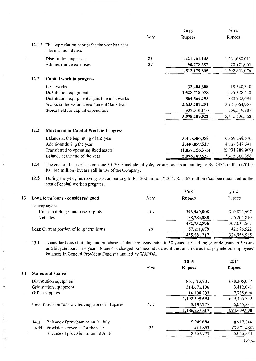|        |                                                                        |      | 2015            | 2014            |
|--------|------------------------------------------------------------------------|------|-----------------|-----------------|
|        |                                                                        | Note | <b>Rupees</b>   | Rupees          |
| 12.1.2 | The depreciation charge for the year has been<br>allocated as follows: |      |                 |                 |
|        | Distribution expenses                                                  | 23   | 1,421,401,148   | 1,224,680,011   |
|        | Administrative expenses                                                | 24   | 90,778,687      | 78, 171, 065    |
|        |                                                                        |      | 1,512,179,835   | 1,302,851,076   |
| 12.2   | Capital work in progress                                               |      |                 |                 |
|        | Civil works                                                            |      | 32,404,308      | 19,340,310      |
|        | Distribution equipment                                                 |      | 1,528,718,058   | 1,225,528,410   |
|        | Distribution equipment against deposit works                           |      | 864,569,795     | 832,222,694     |
|        | Works under Asian Development Bank loan                                |      | 2,633,207,251   | 2,781,664,957   |
|        | Stores held for capital expenditure                                    |      | 939,310,110     | 556,549,987     |
|        |                                                                        |      | 5,998,209,522   | 5,415,306,358   |
| 12.3   | <b>Movement in Capital Work in Progress</b>                            |      |                 |                 |
|        | Balance at the beginning of the year                                   |      | 5,415,306,358   | 6,869,248,576   |
|        | Additions during the year                                              |      | 2,440,059,537   | 4,537,847,691   |
|        | Transferred to operating fixed assets                                  |      | (1,857,156,373) | (5,991,789,909) |
|        | Balance at the end of the year                                         |      | 5,998,209,522   | 5,415,306,358   |

**12.4** The cost of the assets as on June 30, 2015 include fully depreciated assets amounting to Rs. 443 .2 million (2014: Rs. 441 million) but are still in use of the Company.

í.

**12.5** During the year, borrowing cost amounting to Rs. 200 million (2014: Rs. 562 million) has been included in the cost of capital work in progress.

|    |                                          |      | 2015          | 2014        |
|----|------------------------------------------|------|---------------|-------------|
| 13 | Long term loans - considered good        | Note | <b>Rupees</b> | Rupees      |
|    | To employees                             |      |               |             |
|    | House building / purchase of plots       | 13.1 | 393,949,008   | 310,827,697 |
|    | Vehicles                                 |      | 88,783,888    | 56,207,810  |
|    |                                          |      | 482,732,896   | 367,035,507 |
|    | Less: Current portion of long term loans | 16   | 57,151,679    | 42,076,522  |
|    |                                          |      | 425,581,217   | 324,958,985 |
|    |                                          |      |               |             |

**13.1** Loans for house building and purchase of plots are recoverable in 10 years, car and motor-cycle loans in 5 years and bicycle loans in 4 years. Interest is charged on these advances at the same rate as that payable on employees' balances in General Provident Fund maintained by WAPDA.

|    |                                                   |             | 2015          | 2014          |
|----|---------------------------------------------------|-------------|---------------|---------------|
|    |                                                   | <b>Note</b> | <b>Rupees</b> | Rupees        |
| 14 | Stores and spares                                 |             |               |               |
|    | Distribution equipment                            |             | 861, 623, 701 | 688, 305, 057 |
|    | Grid station equipment                            |             | 314,671,190   | 3,412,041     |
|    | Office supplies                                   |             | 16,100,703    | 7,738,694     |
|    |                                                   |             | 1,192,395,594 | 699,455,792   |
|    | Less: Provision for slow moving stores and spares | 14.1        | 5,457,777     | 5,045,884     |
|    |                                                   |             | 1,186,937,817 | 694,409,908   |
|    | Balance of provision as on 01 July<br>14.1        |             | 5,045,884     | 8,917,344     |
|    | Add: Provision / reversal for the year            | 23          | 411,893       | (3,871,460)   |
|    | Balance of provision as on 30 June                |             | 5,457,777     | 5,045,884     |
|    |                                                   |             |               |               |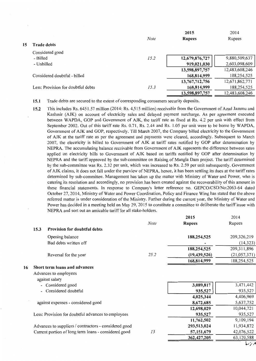|     |                                    | <b>Note</b> | 2015<br><b>Rupees</b> | 2014<br>Rupees |
|-----|------------------------------------|-------------|-----------------------|----------------|
| 15. | <b>Trade debts</b>                 |             |                       |                |
|     | Considered good                    |             |                       |                |
|     | - Billed                           | 15.2        | 12,679,876,727        | 9,880,509,637  |
|     | - Unbilled                         |             | 919,021,030           | 2,603,098,609  |
|     |                                    |             | 13,598,897,757        | 12,483,608,246 |
|     | Considered doubtful - billed       |             | 168,814,999           | 188,254,525    |
|     |                                    |             | 13,767,712,756        | 12,671,862,771 |
|     | Less: Provision for doubtful debts | 15.3        | 168,814,999           | 188,254,525    |
|     |                                    |             | 13,598,897,757        | 12,483,608,246 |

15.1 Trade debts are secured to the extent of corresponding consumers security deposits.

15.2 This includes Rs. 6451.57 million (2014: Rs. 4,515 million) receivable from the Government of Azad Jammu and Kashmir (AJK) on account of electricity sales and delayed payment surcharge. As per agreement executed between W APDA, GOP and Government of AJK, the tariff rate as fixed at Rs. 4.2 per unit with effect from September 2002. Out of this tariff rate Rs. 0.71, Rs. 2.44 and Rs. 1.05 per unit were to be borne by WAPDA, Government of AJK and GOP, respectively. Till March 2007, the Company billed electricity to the Government of AJK at the tariff rate as per the agreement and payments were cleared, accordingly. Subsequent to March 2007, the electricity is billed to Government of AJK at tariff rates notified by GOP after determination by NEPRA. The accumulating balance receivable from Government of AJK represents the difference between rates applied on electricity bills to Government of AJK based on tariffs notified by GOP after determination by NEPRA and the tariff approved by the sub-committee on Raising of Mangla Dam project. The tariff determined by the sub-committee was Rs. 2.32 per unit, which was increased to Rs. 2.59 per unit subsequently. Government of AJK claims, it does not fall under the purview of NEPRA, hence, it has been settling its dues at the tariff rates determined by sub-committee. Management has taken up the matter with Ministry of Water and Power, who is catering its resolution and accordingly, no provision has been created against the recoverability of this amount in these financial statements. In response to Company's letter reference no. GEPCO/CSD/No:2063-64 dated October 27, 2014, Ministry of Water and Power Coordination, Policy and Finance Wing has stated that the above referred matter is under consideration of the Ministry. Further during the current year, the Ministry of Water and Power has decided in a meeting held on May 29, 2015 to constitute a committee to deliberate the tariff issue with NEPRA and sort out an amicable tariff for all stake-holders.

|    |                              |                                                       |             | 2015           | 2014          |
|----|------------------------------|-------------------------------------------------------|-------------|----------------|---------------|
|    |                              |                                                       | <b>Note</b> | <b>Rupees</b>  | Rupees        |
|    | 15.3                         | <b>Provision for doubtful debts</b>                   |             |                |               |
|    |                              | Opening balance                                       |             | 188,254,525    | 209,326,219   |
|    |                              | Bad debts written off                                 |             |                | (14, 323)     |
|    |                              |                                                       |             | 188,254,525    | 209, 311, 896 |
|    |                              | Reversal for the year                                 | 25.2        | (19, 439, 526) | (21,057,371)  |
|    |                              |                                                       |             | 168,814,999    | 188,254,525   |
| 16 |                              | Short term loans and advances                         |             |                |               |
|    |                              | Advances to employees                                 |             |                |               |
|    |                              | against salary                                        |             |                |               |
|    | $\qquad \qquad \blacksquare$ | Considered good                                       |             | 3,089,817      | 3,471,442     |
|    |                              | Considered doubtful                                   |             | 935,527        | 935,527       |
|    |                              |                                                       |             | 4,025,344      | 4,406,969     |
|    |                              | against expenses - considered good                    |             | 8,672,685      | 5,637,752     |
|    |                              |                                                       |             | 12,698,029     | 10,044,721    |
|    |                              | Less: Provision for doubtful advances to employees    |             | 935,527        | 935,527       |
|    |                              |                                                       |             | 11,762,502     | 9,109,194     |
|    |                              | Advances to suppliers / contractors - considered good |             | 293,513,024    | 11,934,872    |
|    |                              | Current portion of long term loans - considered good  | 13          | 57, 151, 679   | 42,076,522    |
|    |                              |                                                       |             | 362, 427, 205  | 63,120,588    |
|    |                              |                                                       |             |                |               |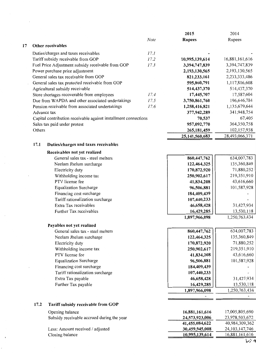|    |        |                                                                 |      | 2015           | 2014              |
|----|--------|-----------------------------------------------------------------|------|----------------|-------------------|
|    |        |                                                                 | Note | <b>Rupees</b>  | Rupees            |
| 17 |        | Other receivables                                               |      |                |                   |
|    |        | Duties/charges and taxes receivables                            | 17.1 |                |                   |
|    |        | Tariff subsidy receivable from GOP                              | 17.2 | 10,995,139,614 | 16,881,161,616    |
|    |        | Fuel Price Adjustment subsidy receivable from GOP               | 17.3 | 3,394,747,839  | 3,394,747,839     |
|    |        | Power purchase price adjustment                                 |      | 2,193,130,565  | 2, 193, 130, 565  |
|    |        | General sales tax receivable from GOP                           |      | 821,233,161    | 2,233,333,486     |
|    |        | General sales tax protected receivable from GOP                 |      | 595,860,791    | 1,117,816,608     |
|    |        | Agricultural subsidy receivable                                 |      | 514,437,370    | 514,437,370       |
|    |        | Store shortages recoverable from employees                      | 17.4 | 17,445,707     | 17,587,604        |
|    |        | Due from WAPDA and other associated undertakings                | 17.5 | 3,750,861,760  | 196,646,784       |
|    |        | Pension receivable from associated undertakings                 | 17.6 | 1,258,416,821  | 1,135,679,644     |
|    |        | Advance tax                                                     |      | 377,942,289    | 341,948,754       |
|    |        | Capital contribution receivable against installment connections |      | 70,537         | 67,405            |
|    |        | Sales tax paid under protest                                    |      | 957,092,770    | 364,350,758       |
|    | Others |                                                                 |      | 265,181,459    | 102,157,938       |
|    |        |                                                                 |      | 25,141,560,683 | 28,493,066,371    |
|    | 17.1   |                                                                 |      |                |                   |
|    |        | Duties/charges and taxes receivables                            |      |                |                   |
|    |        | Receivables not yet realized                                    |      |                |                   |
|    |        | General sales tax - steel melters                               |      | 860,447,762    | 634,007,783       |
|    |        | Neelam Jhelum surcharge                                         |      | 122,464,325    | 135,360,849       |
|    |        | Electricity duty                                                |      | 170,872,920    | 71,880,252        |
|    |        | Withholding income tax                                          |      | 250,902,617    | 219,351,910       |
|    |        | PTV license fee                                                 |      | 41,834,208     | 43,616,660        |
|    |        | <b>Equalization Surcharge</b>                                   |      | 96,506,881     | 101,587,928       |
|    |        | Financing cost surcharge                                        |      | 184,409,439    |                   |
|    |        | Tariff rationalization surcharge                                |      | 107,440,233    |                   |
|    |        | Extra Tax receivables                                           |      | 46,658,428     | 31,427,934        |
|    |        | Further Tax receivables                                         |      | 16,429,285     | 13,530,118        |
|    |        |                                                                 |      | 1,897,966,098  | 1,250,763,434     |
|    |        | Payables not yet realized                                       |      |                |                   |
|    |        | General sales tax - steel melters                               |      | 860,447,762    | 634,007,783       |
|    |        | Neelam Jhelum surcharge                                         |      | 122,464,325    | 135,360,849       |
|    |        | Electricity duty                                                |      | 170,872,920    | 71,880,252        |
|    |        | Withholding income tax                                          |      | 250,902,617    | 219,351,910       |
|    |        | PTV license fee                                                 |      | 41,834,208     | 43,616,660        |
|    |        | <b>Equalization Surcharge</b>                                   |      | 96,506,881     | 101,587,928       |
|    |        | Financing cost surcharge                                        |      | 184,409,439    |                   |
|    |        | Tariff rationalization surcharge                                |      | 107,440,233    |                   |
|    |        | Extra Tax payable                                               |      | 46,658,428     | 31,427,934        |
|    |        | Further Tax payable                                             |      | 16,429,285     | 13,530,118        |
|    |        |                                                                 |      | 1,897,966,098  | 1,250,763,434     |
|    |        |                                                                 |      |                |                   |
|    | 17.2   | Tariff subsidy receivable from GOP                              |      |                |                   |
|    |        | Opening balance                                                 |      | 16,881,161,616 | 17,005,805,690    |
|    |        | Subsidy receivable accrued during the year                      |      | 24,573,923,006 | 23,978,503,672    |
|    |        |                                                                 |      | 41,455,084,622 | 40,984,309,362    |
|    |        | Less: Amount received / adjusted                                |      | 30,459,945,008 | 24, 103, 147, 746 |
|    |        | Closing balance                                                 |      | 10,995,139,614 | 16,881,161,616    |
|    |        |                                                                 |      |                | レ冫4               |

 $\sim$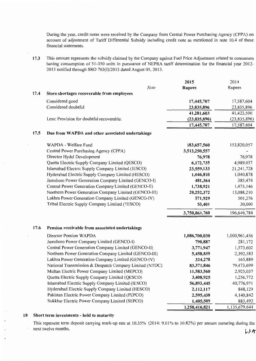During the year, credit notes were received by the Company from Central Power Purchasing Agency (CPPA) on account of adjustment of Tariff Differential Subsidy including credit note as mentioned in note 10.4 of these financial statements.

**17.3** This amount represents the subsidy claimed by the Company against Fuel Price Adjustment related to consumers having consumption of 51-350 units in pursuance of NEPRA tariff determination for the financial year 2012- 2013 notified through SRO 703(I)/2013 dated August 05, 2013.

|                                                          | 2015           | 2014          |
|----------------------------------------------------------|----------------|---------------|
| Note                                                     | <b>Rupees</b>  | Rupees        |
| 17.4<br>Store shortages recoverable from employees       |                |               |
| Considered good                                          | 17,445,707     | 17,587,604    |
| Considered doubtful                                      | 23,835,896     | 23,835,896    |
|                                                          | 41,281,603     | 41,423,500    |
| Less: Provision for doubtful recoverable.                | (23, 835, 896) | (23,835,896)  |
|                                                          | 17,445,707     | 17,587,604    |
| Due from WAPDA and other associated undertakings<br>17.5 |                |               |
| WAPDA - Welfare Fund                                     | 183,657,560    | 153,820,057   |
| Central Power Purchasing Agency (CPPA)                   | 3,513,250,557  |               |
| Director Hydel Development                               | 76,978         | 76,978        |
| Quetta Electric Supply Company Limited (QESCO)           | 6,172,735      | 4,989,037     |
| Islamabad Electric Supply Company Limited (IESCO)        | 23,559,133     | 21, 241, 728  |
| Hyderabad Electric Supply Company Limited (HESCO)        | 1,046,810      | 1,040,878     |
| Jamshoro Power Generation Company Limited (GENCO-I)      | 481,364        | 385,474       |
| Central Power Generation Company Limited (GENCO-II)      | 1,738,921      | 1,473,146     |
| Northern Power Generation Company Limited (GENCO-III)    | 20,252,372     | 13,088,210    |
| Lakhra Power Generation Company Limited (GENCO-IV)       | 571,929        | 501,276       |
| Tribal Electric Supply Company Limited (TESCO)           | 53,401         | 30,000        |
|                                                          | 3,750,861,760  | 196,646,784   |
| 17.6<br>Pension receivable from associated undertakings  |                |               |
| Director Pension WAPDA                                   | 1,086,700,030  | 1,000,961,456 |
| Jamshoro Power Company Limited (GENCO-I)                 | 790,887        | 281,172       |
| Central Power Generation Company Limited (GENCO-II)      | 3,771,947      | 1,573,602     |
| Northern Power Generation Company Limited (GENCO-III)    | 5,458,839      | 2,392,583     |
| Lakhra Power Generation Company Limited (GENCO-IV)       | 324,278        | 165,889       |
| National Transmission & Despatch Company Limited (NTDC)  | 83,371,846     | 79,473,699    |
| Multan Electric Power Company Limited (MEPCO)            | 11,583,560     | 2,925,037     |
| Quetta Electric Supply Company Limited (QESCO)           | 3,408,925      | 1,256,772     |
| Islamabad Electric Supply Company Limited (IESCO)        | 56,893,445     | 40,776,971    |
| Hyderabad Electric Supply Company Limited (HESCO)        | 2,112,117      | 848,129       |
| Pakistan Electric Power Company Limited (PEPCO)          | 2,595,438      | 4,140,842     |
| Sukkhar Electric Power Company Limited (SEPCO)           | 1,405,509      | 883,492       |
|                                                          | 1,258,416,821  | 1,135,679,644 |

#### **18 Short term investments - held to maturity**

This represent term deposit carrying mark-up rate at 10.35% (2014: 9.01% to 10.82%) per annum maturing during the next twelve months. LYA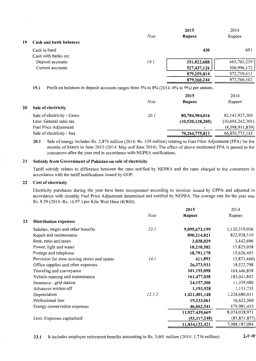|    |                        |             | 2015          | 2014          |
|----|------------------------|-------------|---------------|---------------|
|    |                        | <b>Note</b> | <b>Rupees</b> | Rupees        |
| 19 | Cash and bank balances |             |               |               |
|    | Cash in hand           |             | 430           | 691           |
|    | Cash with banks on:    |             |               |               |
|    | Deposit accounts       | 19.1        | 351,822,688   | 465, 763, 239 |
|    | Current accounts       |             | 527,437,126   | 506,996,172   |
|    |                        |             | 879,259,814   | 972,759,411   |
|    |                        |             | 879,260,244   | 972,760,102   |
|    |                        |             |               |               |

19.1 Profit on balances in deposit accounts ranges from 5% to 8% (2014: 6% to 9%) per annum.

|    |                             |             | 2015             | 2014              |
|----|-----------------------------|-------------|------------------|-------------------|
|    |                             | <b>Note</b> | <b>Rupees</b>    | Rupees            |
| 20 | Sale of electricity         |             |                  |                   |
|    | Sale of electricity - Gross | <i>20.1</i> | 80,784,904,016   | 82, 143, 927, 305 |
|    | Less: General sales tax     |             | (10,520,128,205) | (10,694,242,301)  |
|    | Fuel Price Adjustment       |             | $\blacksquare$   | (4,598,911,859)   |
|    | Sale of electricity - Net   |             | 70,264,775,811   | 66,850,773,145    |

20.1 Sale of energy includes Rs. 2,874 million (2014: Rs. 539 million) relating to Fuel Price Adjustment (FPA) for the months of March to June 2015 (2014: May and June 2014). The effect of above mentioned FPA is passed to the consumers after the year end in accordance with NEPRA notifications.

#### 21 Subsidy from Government of Pakistan on sale of electricity

Tariff subsidy relates to difference between the rates notified by NEPRA and the rates charged to the consumers in accordance with the tariff notifications issued by GOP.

#### 22 Cost of electricity

Electricity purchases during the year have been incorporated according to invoices issued by CPPA and adjusted in accordance with monthly Fuel Price Adjustment determined and notified by NEPRA. The average rate for the year was Rs. 9.59 (2014: Rs. 10.97) per Kilo Watt Hour (KWH).

|    |                                             |             | 2015           | 2014           |
|----|---------------------------------------------|-------------|----------------|----------------|
|    |                                             | <b>Note</b> | <b>Rupees</b>  | Rupees         |
| 23 | <b>Distribution expenses</b>                |             |                |                |
|    | Salaries, wages and other benefits          | 23.1        | 9,095,673,199  | 5,120,319,056  |
|    | Repair and maintenance                      |             | 890,214,821    | 822,928,519    |
|    | Rent, rates and taxes                       |             | 3,038,029      | 3,442,696      |
|    | Power, light and water                      |             | 18,218,502     | 15,825,058     |
|    | Postage and telephone                       |             | 18,791,178     | 15,626,403     |
|    | Provision for slow moving stores and spares | 14.1        | 411,893        | (3,871,460)    |
|    | Office supplies and other expenses          |             | 26,373,933     | 18,522,798     |
|    | Traveling and conveyance                    |             | 201,193,098    | 164,446,858    |
|    | Vehicle running and maintenance             |             | 161,477,038    | 183,041,842    |
|    | Insurance - grid station                    |             | 24,157,300     | 11,359,480     |
|    | Advances written off                        |             | 1,193,928      | 1, 113, 735    |
|    | Depreciation                                | 12.1.2      | 1,421,401,148  | 1,224,680,011  |
|    | Professional fees                           |             | 19,233,061     | 16,622,560     |
|    | Energy conservation expenses                |             | 46,062,541     | 479,981,415    |
|    |                                             |             | 11,927,439,669 | 8,074,038,971  |
|    | Less: Expenses capitalized                  |             | (93,317,248)   | (85, 851, 877) |
|    |                                             |             | 11,834,122,421 | 7,988,187,094  |
|    |                                             |             |                |                |

23.1 It includes employee retirement benefits amounting to Rs. 5,601 million (2014: 1,736 million)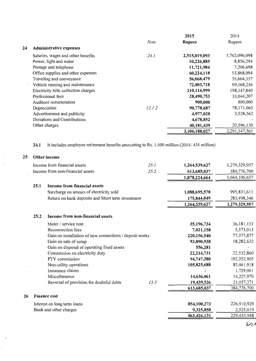|    |                                      |             | 2015          | 2014          |
|----|--------------------------------------|-------------|---------------|---------------|
|    |                                      | <b>Note</b> | <b>Rupees</b> | Rupees        |
| 24 | <b>Administrative expenses</b>       |             |               |               |
|    | Salaries, wages and other benefits   | 24. I       | 2,515,019,093 | 1,762,096,098 |
|    | Power, light and water               |             | 10,226,885    | 8,856,294     |
|    | Postage and telephone                |             | 11,721,984    | 7,206,698     |
|    | Office supplies and other expenses   |             | 60,224,118    | 53,868,094    |
|    | Traveling and conveyance             |             | 56,068,479    | 55,664,357    |
|    | Vehicle running and maintenance      |             | 72,803,718    | 69,368,216    |
|    | Electricity bills collection charges |             | 210,116,999   | 198,147,840   |
|    | Professional fees                    |             | 28,490,753    | 33,044,207    |
|    | Auditors' remuneration               |             | 900,000       | 800,000       |
|    | Depreciation                         | 12.1.2      | 90,778,687    | 78,171,065    |
|    | Advertisement and publicity          |             | 4,977,020     | 3,528,562     |
|    | Donations and Contributions          |             | 4,678,852     |               |
|    | Other charges                        |             | 40,181,439    | 20,596,130    |
|    |                                      |             | 3,106,188,027 | 2,291,347,561 |

24.1 It includes employee retirement benefits amounting to Rs. 1,400 million (2014: 434 million)

| 25 |                                      | Other income                                            |             |               |               |
|----|--------------------------------------|---------------------------------------------------------|-------------|---------------|---------------|
|    | Income from financial assets<br>25.1 |                                                         |             | 1,264,539,627 | 1,279,329,957 |
|    |                                      | Income from non-financial assets                        | 25.2        | 613,685,037   | 384,776,700   |
|    |                                      |                                                         |             | 1,878,224,664 | 1,664,106,657 |
|    | 25.1                                 | Income from financial assets                            |             |               |               |
|    |                                      | Surcharge on arrears of electricity sold                |             | 1,088,695,578 | 995,831,611   |
|    |                                      | Return on bank deposits and Short term investment       |             | 175,844,049   | 283,498,346   |
|    |                                      |                                                         |             | 1,264,539,627 | 1,279,329,957 |
|    | 25.2                                 | Income from non-financial assets                        |             |               |               |
|    |                                      | Meter / service rent                                    |             | 35,196,734    | 36, 181, 153  |
|    |                                      | Reconnection fees                                       | 7,021,158   | 5,573,013     |               |
|    |                                      | Gain on installation of new connections / deposit works | 220,156,540 | 77, 377, 877  |               |
|    |                                      | Gain on sale of scrap                                   |             | 93,890,938    | 18,282,632    |
|    |                                      | Gain on disposal of operating fixed assets              |             | 556,281       |               |
|    |                                      | Commission on electricity duty                          |             | 22,214,731    | 22,532,860    |
|    |                                      | PTV commission                                          |             | 94,747,380    | 102,352,905   |
|    |                                      | Non-utility operations                                  |             | 105,825,688   | 85,461,918    |
|    |                                      | Insurance claims                                        |             |               | 1,729,001     |
|    |                                      | Miscellaneous                                           |             | 14,636,061    | 14,227,970    |
|    |                                      | Reversal of provision for doubtful debts                | 15.3        | 19,439,526    | 21,057,371    |
|    |                                      |                                                         |             | 613,685,037   | 384,776,700   |
| 26 |                                      | <b>Finance cost</b>                                     |             |               |               |
|    |                                      | Interest on long term loans                             |             | 854,100,273   | 226,910,929   |
|    |                                      | Bank and other charges                                  | 9,325,858   | 2,525,019     |               |
|    |                                      |                                                         |             | 863,426,131   | 229,435,948   |
|    |                                      |                                                         |             |               | ハッノ           |

 $L_{7}$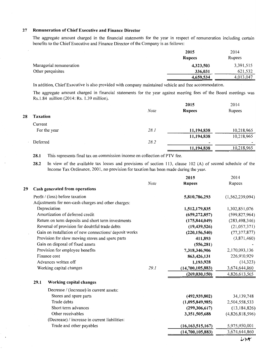#### **27 Remuneration of Chief Executive and Finance Director**

The aggregate amount charged in the financial statements for the year in respect of remuneration including certain benefits to the Chief Executive and Finance Director of the Company is as follows:

|                         | 2015          | 2014      |
|-------------------------|---------------|-----------|
|                         | <b>Rupees</b> | Rupees    |
| Managerial remuneration | 4,323,503     | 3,391,515 |
| Other perquisites       | 336,031       | 621,532   |
|                         | 4,659,534     | 4,013,047 |

In addition, Chief Executive is also provided with company maintained vehicle and free accommodation.

The aggregate amount charged in financial statements for the year against meeting fees of the Board meetings was Rs.1.84 million (2014: Rs. 1.39 million).

|    |                 |      | 2015          | 2014       |
|----|-----------------|------|---------------|------------|
|    |                 | Note | <b>Rupees</b> | Rupees     |
| 28 | <b>Taxation</b> |      |               |            |
|    | Current         |      |               |            |
|    | For the year    | 28.1 | 11,194,838    | 10,218,965 |
|    |                 |      | 11,194,838    | 10,218,965 |
|    | Deferred        | 28.2 | ٠             |            |
|    |                 |      | 11,194,838    | 10,218,965 |

**28.1** This represents final tax on commission income on collection of PTV fee.

**28.2** In view of the available tax losses and provisions of section 113, clause 102 (A) of second schedule of the Income Tax Ordinance, 2001, no provision for taxation has been made during the year.

|    |      |                                                        |             | 2015                | 2014            |
|----|------|--------------------------------------------------------|-------------|---------------------|-----------------|
|    |      |                                                        | <b>Note</b> | <b>Rupees</b>       | Rupees          |
| 29 |      | Cash generated from operations                         |             |                     |                 |
|    |      | Profit / (loss) before taxation                        |             | 5,810,786,293       | (1,562,239,094) |
|    |      | Adjustments for non-cash charges and other charges:    |             |                     |                 |
|    |      | Depreciation                                           |             | 1,512,179,835       | 1,302,851,076   |
|    |      | Amortization of deferred credit                        |             | (659, 272, 857)     | (599, 827, 964) |
|    |      | Return on term deposits and short term investments     |             | (175, 844, 049)     | (283, 498, 346) |
|    |      | Reversal of provision for doubtful trade debts         |             | (19, 439, 526)      | (21,057,371)    |
|    |      | Gain on installation of new connections/ deposit works |             | (220, 156, 540)     | (77, 377, 877)  |
|    |      | Provision for slow moving stores and spare parts       |             | 411,893             | (3,871,460)     |
|    |      | Gain on disposal of fixed assets                       |             | (556, 281)          |                 |
|    |      | Provision for employee benefits                        |             | 7,318,346,906       | 2,170,093,136   |
|    |      | Finance cost                                           |             | 863,426,131         | 226,910,929     |
|    |      | Advances written off                                   |             | 1,193,928           | (14, 323)       |
|    |      | Working capital changes                                | 29.1        | (14,700,105,883)    | 3,674,644,860   |
|    |      |                                                        |             | (269, 030, 150)     | 4,826,613,565   |
|    | 29.1 | Working capital changes                                |             |                     |                 |
|    |      | Decrease / (increase) in current assets:               |             |                     |                 |
|    |      | Stores and spare parts                                 |             | (492, 939, 802)     | 34,139,748      |
|    |      | Trade debts                                            |             | (1,095,849,985)     | 2,504,558,533   |
|    |      | Short term advances                                    |             | (299, 306, 617)     | (13, 184, 826)  |
|    |      | Other receivables                                      |             | 3,351,505,688       | (4,826,818,596) |
|    |      | (Decrease) / increase in current liabilities:          |             |                     |                 |
|    |      | Trade and other payables                               |             | (16, 163, 515, 167) | 5,975,950,001   |
|    |      |                                                        |             | (14,700,105,883)    | 3,674,644,860   |
|    |      |                                                        |             |                     |                 |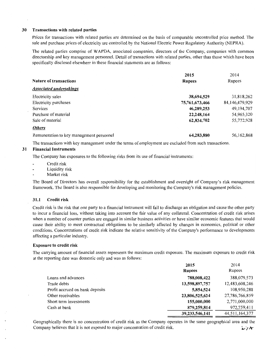#### 30 Transactions with related parties

Prices for transactions with related parties are determined on the basis of comparable uncontrolled price method. The sale and purchase prices of electricity are controlled by the National Electric Power Regulatory Authority (NEPRA).

The related parties comprise of W APDA, associated companies, directors of the Company, companies with common directorship and key management personnel. Detail of transactions with related parties, other than those which have been specifically disclosed elsewhere in these financial statements are as follows:

|                                          | 2015           | 2014           |
|------------------------------------------|----------------|----------------|
| <b>Nature of transactions</b>            | <b>Rupees</b>  | Rupees         |
| <b>Associated undertakings</b>           |                |                |
| Electricity sales                        | 38,694,529     | 31,818,262     |
| Electricity purchases                    | 75,761,673,466 | 84,146,479,929 |
| Services                                 | 46,289,253     | 49,194,707     |
| Purchase of material                     | 22,248,164     | 54,965,320     |
| Sale of material                         | 62,834,702     | 55,772,928     |
| <b>Others</b>                            |                |                |
| Remuneration to key management personnel | 64,283,880     | 56,162,868     |

The transactions with key management under the terms of employment are excluded from such transactions.

# 31 Financial Instruments

The Company has exposures to the following risks from its use of financial instruments:

- Credit risk
- Liquidity risk
- Market risk

The Board of Directors has overall responsibility for the establishment and oversight of Company's risk management framework. The Board is also responsible for developing and monitoring the Company's risk management policies.

#### 31.1 Credit risk

Credit risk is the risk that one party to a financial instrument will fail to discharge an obligation and cause the other party to incur a financial loss, without taking into account the fair value of any collateral. Concentration of credit risk arises when a number of counter parties are engaged in similar business activities or have similar economic features that would cause their ability to meet contractual obligations to be similarly affected by changes in economics, political or other conditions. Concentrations of credit risk indicate the relative sensitivity of the Company's performance to developments affecting a particular industry.

#### Exposure to credit risk

The carrying amount of financial assets represents the maximum credit exposure. The maximum exposure to credit risk at the reporting date was domestic only and was as follows:

|                                 | 2015           | 2014           |
|---------------------------------|----------------|----------------|
|                                 | <b>Rupees</b>  | Rupees         |
| Loans and advances              | 788,008,422    | 388,079,573    |
| Trade debts                     | 13,598,897,757 | 12,483,608,246 |
| Profit accrued on bank deposits | 5,854,524      | 108,950,288    |
| Other receivables               | 23,806,525,624 | 27,786,766,859 |
| Short term investments          | 155,000,000    | 2,771,000,000  |
| Cash at bank                    | 879,259,814    | 972,759,411    |
|                                 | 39,233,546,141 | 44,511,164,377 |

Geographically there is no concentration of credit risk as the Company operates in the same geographical area and the Company believes that it is not exposed to major concentration of credit risk.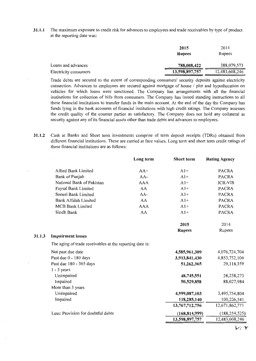**31.1.1** The maximum exposure to credit risk for advances to employees and trade receivables by type of product at the reporting date was:

|                       | 2015           | 2014           |
|-----------------------|----------------|----------------|
|                       | <b>Rupees</b>  | Rupees         |
| Loans and advances    | 788,008,422    | 388,079,573    |
| Electricity consumers | 13,598,897,757 | 12,483,608,246 |

Trade debts are secured to the extent of corresponding consumers' security deposits against electricity connection. Advances to employees are secured against mortgage of house / plot and hypothecation on vehicles for which loans were sanctioned. The Company has arrangements with all the financial institutions for collection of bills from consumers. The Company has issued standing instructions to all these financial institutions to transfer funds in the main account. At the end of the day the Company has funds lying in the bank accounts of financial institutions with high credit ratings. The Company assesses the credit quality of the counter parties as satisfactory. The Company does not hold any collateral as security against any of its financial assets other than trade debts and advances to employees.

**31.1.2** Cash at Banks and Short term investments comprise of term deposit receipts (TDRs) obtained from different financial institutions. These are carried at face values. Long term and short term credit ratings of these financial institutions are as follows:

|                                                          | Long term  | <b>Short term</b> | <b>Rating Agency</b> |
|----------------------------------------------------------|------------|-------------------|----------------------|
| Allied Bank Limited                                      | $AA+$      | $A1+$             | <b>PACRA</b>         |
| Bank of Punjab                                           | AA-        | $A1+$             | <b>PACRA</b>         |
| National Bank of Pakistan                                | <b>AAA</b> | $A1+$             | <b>JCR-VIS</b>       |
| Faysal Bank Limited                                      | AA         | $A1+$             | <b>PACRA</b>         |
| Soneri Bank Limited                                      | AA-        | $A1+$             | <b>PACRA</b>         |
| Bank Alfalah Limited                                     | AA         | $A1+$             | <b>PACRA</b>         |
| <b>MCB Bank Limited</b>                                  | <b>AAA</b> | $A1+$             | <b>PACRA</b>         |
| Sindh Bank                                               | AA         | $A1+$             | <b>PACRA</b>         |
|                                                          |            | 2015              | 2014                 |
|                                                          |            | <b>Rupees</b>     | Rupees               |
| <b>Impairment losses</b>                                 |            |                   |                      |
| The aging of trade receivables at the reporting date is: |            |                   |                      |
| Not past due date                                        |            | 4,585,961,309     | 4,076,724,704        |
| Past due 0 - 180 days                                    |            | 3,913,841,430     | 4,853,752,106        |
| Past due 180 - 365 days                                  |            | 51,262,365        | 29,118,359           |
| $1 - 3$ years                                            |            |                   |                      |
| Unimpaired                                               |            | 48,745,551        | 28,258,273           |
| Impaired                                                 |            | 50,529,858        | 88,027,984           |
| More than 3 years                                        |            |                   |                      |
| Unimpaired                                               |            | 4,999,087,103     | 3,495,754,804        |
| Impaired                                                 |            | 118,285,140       | 100,226,541          |
|                                                          |            | 13,767,712,756    | 12,671,862,771       |
| Less: Provision for doubtful debts                       |            | (168, 814, 999)   | (188, 254, 525)      |
|                                                          |            | 13,598,897,757    | 12,483,608,246       |
|                                                          |            |                   |                      |

31.1.3

*v;,* .,.,...-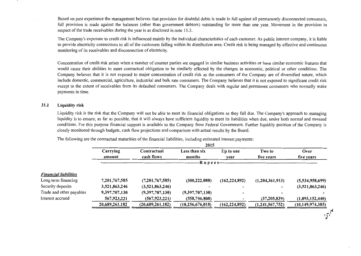Based on past experience the management believes that provision for doubtful debts is made in full against all permanently disconnected consumers, full provision is made against the balances (other than government debtors) outstanding for more than one year. Movement in the provision in respect of the trade receivables during the year is as disclosed in note 15.3.

The Company's exposure to credit risk is influenced mainly by the individual characteristics of each customer. As public interest company, it is liable to provide electricity connections to all of the customers falling within its distribution area. Credit risk is being managed by effective and continuous monitoring of its receivables and disconnection of electricity.

Concentration of credit risk arises when a number of counter parties are engaged in similar business activities or have similar economic features that would cause their abilities to meet contractual obligation to be similarly effected by the changes in economic, political or other conditions. The Company believes that it is not exposed to major concentration of credit risk as the consumers of the Company are of diversified nature, which include domestic, commercial, agriculture, industrial and bulk rate consumers. The Company believes that it is not exposed to significant credit risk except to the extent of receivables from its defaulted consumers. The Company deals with regular and permanent consumers who normally make payments in time.

#### 31.2 Liquidity risk

Liquidity risk is the risk that the Company will not be able to meet its financial obligations as they fall due. The Company's approach to managing liquidity is to ensure, as far as possible, that it will always have sufficient liquidity to meet its liabilities when due, under both normal and stressed conditions. For this purpose financial support is available to the Company from Federal Government. Further liquidity position of the Company is closely monitored through budgets, cash flow projections and comparison with actual results by the Board.

The following are the contractual maturities of the financial liabilities, including estimated interest payments:

|                              |                |                  | 2015                |                 |                 |                     |
|------------------------------|----------------|------------------|---------------------|-----------------|-----------------|---------------------|
|                              | Carrying       | Contractual      | Less than six       | Up to one       | Two to          | Over                |
|                              | amount         | cash flows       | months              | vear            | five years      | five years          |
|                              |                |                  | --R u p e e s----   |                 |                 |                     |
| <b>Financial liabilities</b> |                |                  |                     |                 |                 |                     |
| Long term financing          | 7,201,767,585  | (7,201,767,585)  | (300, 222, 080)     | (162, 224, 892) | (1,204,361,913) | (5,534,958,699)     |
| Security deposits            | 3,521,863,246  | (3,521,863,246)  |                     |                 | -               | (3,521,863,246)     |
| Trade and other payables     | 9,397,707,130  | (9,397,707,130)  | (9,397,707,130)     |                 |                 |                     |
| Interest accrued             | 567,923,221    | (567, 923, 221)  | (558, 746, 808)     |                 | (37, 205, 839)  | (1,093,152,440)     |
|                              | 20,689,261,182 | (20,689,261,182) | (10, 256, 676, 018) | (162, 224, 892) | (1,241,567,752) | (10, 149, 974, 385) |
|                              |                |                  |                     |                 |                 |                     |
|                              |                |                  |                     |                 |                 |                     |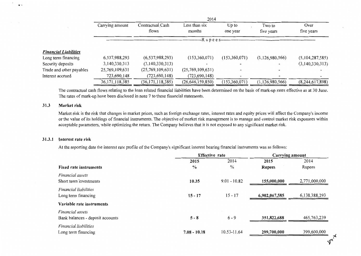|                              | 2014              |                           |                         |                                            |                      |                    |
|------------------------------|-------------------|---------------------------|-------------------------|--------------------------------------------|----------------------|--------------------|
|                              | Carrying amount   | Contractual Cash<br>flows | Less than six<br>months | Up to<br>one year                          | Two to<br>five years | Over<br>five years |
|                              |                   |                           |                         | -R u p e e s------------------------------ |                      |                    |
| <b>Financial Liabilities</b> |                   |                           |                         |                                            |                      |                    |
| Long term financing          | 6,537,988,293     | (6,537,988,293)           | (153,360,071)           | (153,360,071)                              | (1,126,980,566)      | (5,104,287,585)    |
| Security deposits            | 3,140,330,313     | (3,140,330,313)           |                         |                                            |                      | (3,140,330,313)    |
| Trade and other payables     | 25,769,109,631    | (25,769,109,631)          | (25,769,109,631)        | $\overline{\phantom{0}}$                   |                      |                    |
| Interest accrued             | 723,690,148       | (723, 690, 148)           | (723, 690, 148)         |                                            |                      |                    |
|                              | 36, 171, 118, 385 | (36, 171, 118, 385)       | (26,646,159,850)        | (153, 360, 071)                            | (1, 126, 980, 566)   | (8,244,617,898)    |

The contractual cash flows relating to the loan related financial liabilities have been determined on the basis of mark-up rates effective as at 30 June. The rates of mark-up have been disclosed in note 7 to these financial statements.

#### **31.3 Market risk**

• >

Market risk is the risk that changes in market prices, such as foreign exchange rates, interest rates and equity prices will affect the Company's income or the value of its holdings of financial instruments. The objective of market risk management is to manage and control market risk exposures within acceptable parameters, while optimizing the return. The Company believes that it is not exposed to any significant market risk.

#### **31.3. l Interest rate risk**

At the reporting date the interest rate profile of the Company's significant interest bearing financial instruments was as follows:

|                                                      | <b>Effective rate</b> |                | Carrying amount |               |
|------------------------------------------------------|-----------------------|----------------|-----------------|---------------|
|                                                      | 2015                  | 2014           | 2015            | 2014          |
| <b>Fixed rate instruments</b>                        | $\frac{6}{6}$         | $\frac{0}{0}$  | <b>Rupees</b>   | Rupees        |
| Financial assets<br>Short term investments           | 10.35                 | $9.01 - 10.82$ | 155,000,000     | 2,771,000,000 |
| <i>Financial liabilities</i><br>Long term financing  | $15 - 17$             | $15 - 17$      | 6,902,067,585   | 6,138,388,293 |
| Variable rate instruments                            |                       |                |                 |               |
| Financial assets<br>Bank balances - deposit accounts | $5 - 8$               | $6 - 9$        | 351,822,688     | 465, 763, 239 |
| Financial liabilities<br>Long term financing         | $7.08 - 10.18$        | 10.53-11.64    | 299,700,000     | 399,600,000   |

:-'\'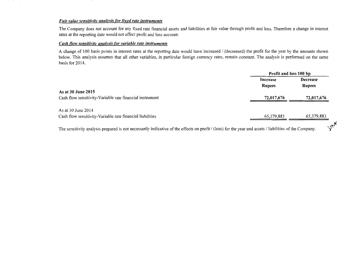#### *Fair value sensitivity analysis for fixed rate instruments*

 $\mathcal{L}$ 

 $\mathcal{L}^{\pm}$ 

The Company does not account for any fixed rate financial assets and liabilities at fair value through profit and loss. Therefore a change in interest rates at the reporting date would not affect profit and loss account.

# *Cash flow sensitivity analysis for variable rate instruments*

A change of 100 basis points in interest rates at the reporting date would have increased / (decreased) the profit for the year by the amounts shown below. This analysis assumes that all other variables, in particular foreign currency rates, remain constant. The analysis is performed on the same basis for 2014.

|                                                                                                                                                         | Profit and loss 100 bp |                 |
|---------------------------------------------------------------------------------------------------------------------------------------------------------|------------------------|-----------------|
|                                                                                                                                                         | Increase               | <b>Decrease</b> |
|                                                                                                                                                         | <b>Rupees</b>          | <b>Rupees</b>   |
| As at 30 June 2015                                                                                                                                      |                        |                 |
| Cash flow sensitivity-Variable rate financial instrument                                                                                                | 72,017,676             | 72,017,676      |
| As at 30 June 2014                                                                                                                                      |                        |                 |
| Cash flow sensitivity-Variable rate financial liabilities                                                                                               | 65,379,883             | 65,379,883      |
| The sensitivity analysis prepared is not necessarily indicative of the effects on profit / (loss) for the year and assets / liabilities of the Company. |                        | $\sqrt{7}$      |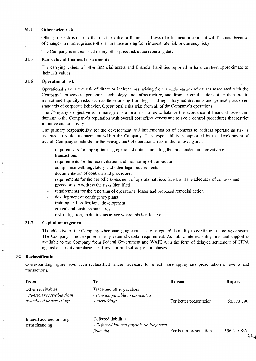#### **31.4 Other price risk**

Other price risk is the risk that the fair value or future cash flows of a financial instrument will fluctuate because of changes in market prices (other than those arising from interest rate risk or currency risk).

The Company is not exposed to any other price risk at the reporting date.

#### **31.5 Fair value of financial instruments**

The carrying values of other financial assets and financial liabilities reported in balance sheet approximate to their fair values.

#### **31.6 Operational risk**

Operational risk is the risk of direct or indirect loss arising from a wide variety of causes associated with the Company's processes, personnel, technology and infrastructure, and from external factors other than credit, market and liquidity risks such as those arising from legal and regulatory requirements and generally accepted standards of corporate behavior. Operational risks arise from all of the Company's operations.

The Company's objective is to manage operational risk so as to balance the avoidance of financial losses and damage to the Company's reputation with overall cost effectiveness and to avoid control procedures that restrict initiative and creativity.

The primary responsibility for the development and implementation of controls to address operational risk is assigned to senior management within the Company. This responsibility is supported by the development of overall Company standards for the management of operational risk in the following areas:

- requirements for appropriate segregation of duties, including the independent authorization of transactions
- requirements for the reconciliation and monitoring of transactions
- compliance with regulatory and other legal requirements
- documentation of controls and procedures
- requirements for the periodic assessment of operational risks faced, and the adequacy of controls and procedures to address the risks identified
- requirements for the reporting of operational losses and proposed remedial action
- development of contingency plans
- training and professional development
- ethical and business standards
- risk mitigation, including insurance where this is effective

#### **31. 7 Capital management**

The objective of the Company when managing capital is to safeguard its ability to continue as a going concern. The Company is not exposed to any external capital requirement. As public interest entity financial support is available to the Company from Federal Government and W APDA in the form of delayed settlement of CPPA against electricity purchase, tariff revision and subsidy on purchases.

#### **32 Reclassification**

Corresponding figure have been reclassified where necessary to reflect more appropriate presentation of events and transactions.

| From                                                                      | Tо                                                                            | Reason                  | <b>Rupees</b> |
|---------------------------------------------------------------------------|-------------------------------------------------------------------------------|-------------------------|---------------|
| Other receivables<br>- Pension receivable from<br>associated undertakings | Trade and other payables<br>- Pension payable to associated<br>undertakings   | For better presentation | 60, 373, 290  |
| Interest accrued on long<br>term financing                                | Deferred liabilities<br>- Deferred interest payable on long term<br>financing | For better presentation | 596,515,847   |